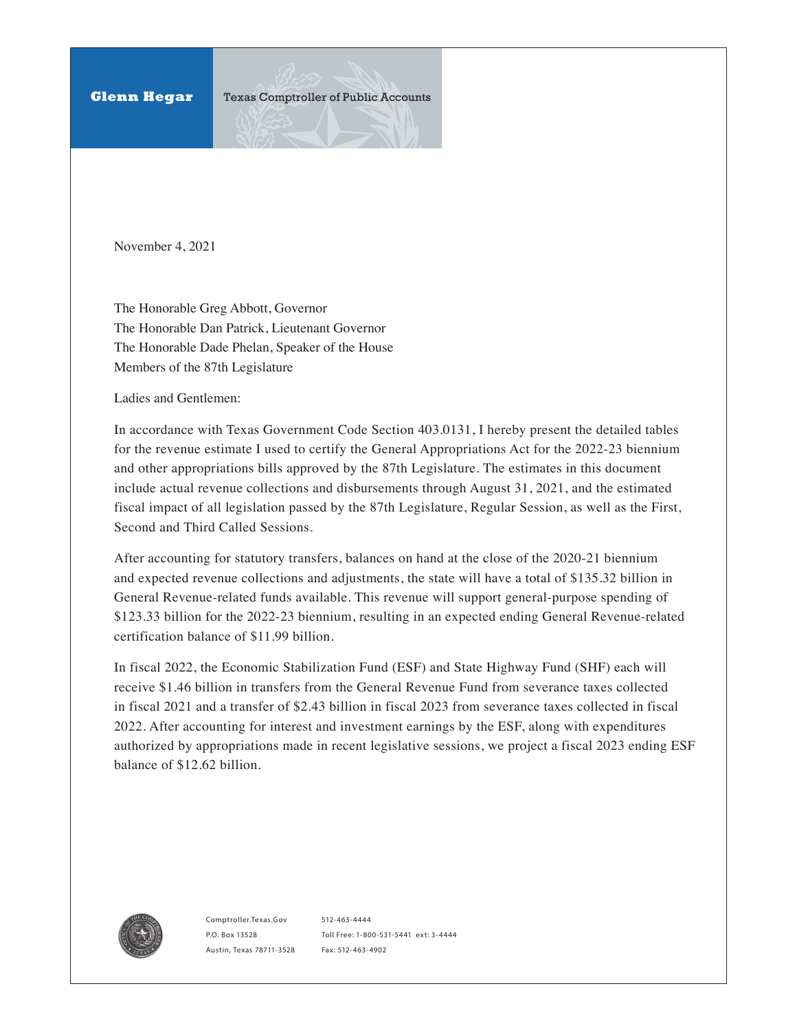November 4, 2021

The Honorable Greg Abbott, Governor The Honorable Dan Patrick, Lieutenant Governor The Honorable Dade Phelan, Speaker of the House Members of the 87th Legislature

Ladies and Gentlemen:

In accordance with Texas Government Code Section 403.0131, I hereby present the detailed tables for the revenue estimate I used to certify the General Appropriations Act for the 2022-23 biennium and other appropriations bills approved by the 87th Legislature. The estimates in this document include actual revenue collections and disbursements through August 31, 2021, and the estimated fiscal impact of all legislation passed by the 87th Legislature, Regular Session, as well as the First, Second and Third Called Sessions.

After accounting for statutory transfers, balances on hand at the close of the 2020-21 biennium and expected revenue collections and adjustments, the state will have a total of \$135.32 billion in General Revenue-related funds available. This revenue will support general-purpose spending of \$123.33 billion for the 2022-23 biennium, resulting in an expected ending General Revenue-related certification balance of \$11.99 billion.

In fiscal 2022, the Economic Stabilization Fund (ESF) and State Highway Fund (SHF) each will receive \$1.46 billion in transfers from the General Revenue Fund from severance taxes collected in fiscal 2021 and a transfer of \$2.43 billion in fiscal 2023 from severance taxes collected in fiscal 2022. After accounting for interest and investment earnings by the ESF, along with expenditures authorized by appropriations made in recent legislative sessions, we project a fiscal 2023 ending ESF balance of \$12.62 billion.



<Comptroller.Texas.Gov> P.O. Box 13528 Austin, Texas 78711-3528

512-463-4444 Toll Free: 1-800-531-5441 ext: 3-4444 Fax: 512-463-4902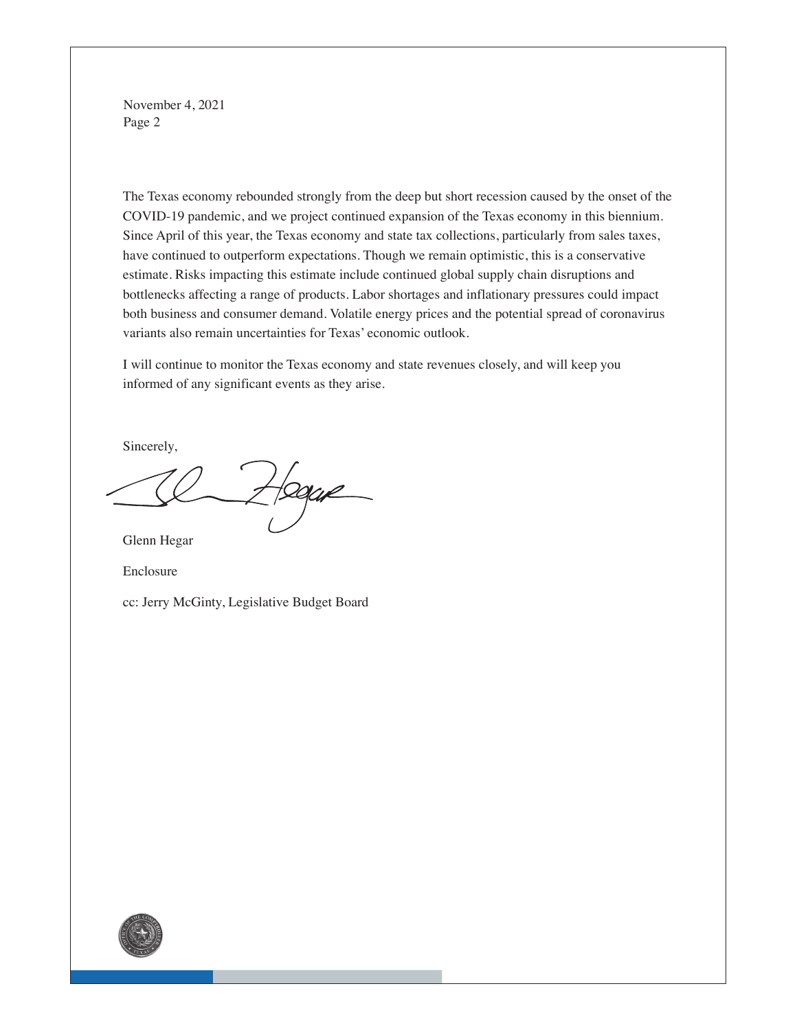November 4, 2021 Page 2

The Texas economy rebounded strongly from the deep but short recession caused by the onset of the COVID-19 pandemic, and we project continued expansion of the Texas economy in this biennium. Since April of this year, the Texas economy and state tax collections, particularly from sales taxes, have continued to outperform expectations. Though we remain optimistic, this is a conservative estimate. Risks impacting this estimate include continued global supply chain disruptions and bottlenecks affecting a range of products. Labor shortages and inflationary pressures could impact both business and consumer demand. Volatile energy prices and the potential spread of coronavirus variants also remain uncertainties for Texas' economic outlook.

I will continue to monitor the Texas economy and state revenues closely, and will keep you informed of any significant events as they arise.

Sincerely,

Dagar

Glenn Hegar

Enclosure

cc: Jerry McGinty, Legislative Budget Board

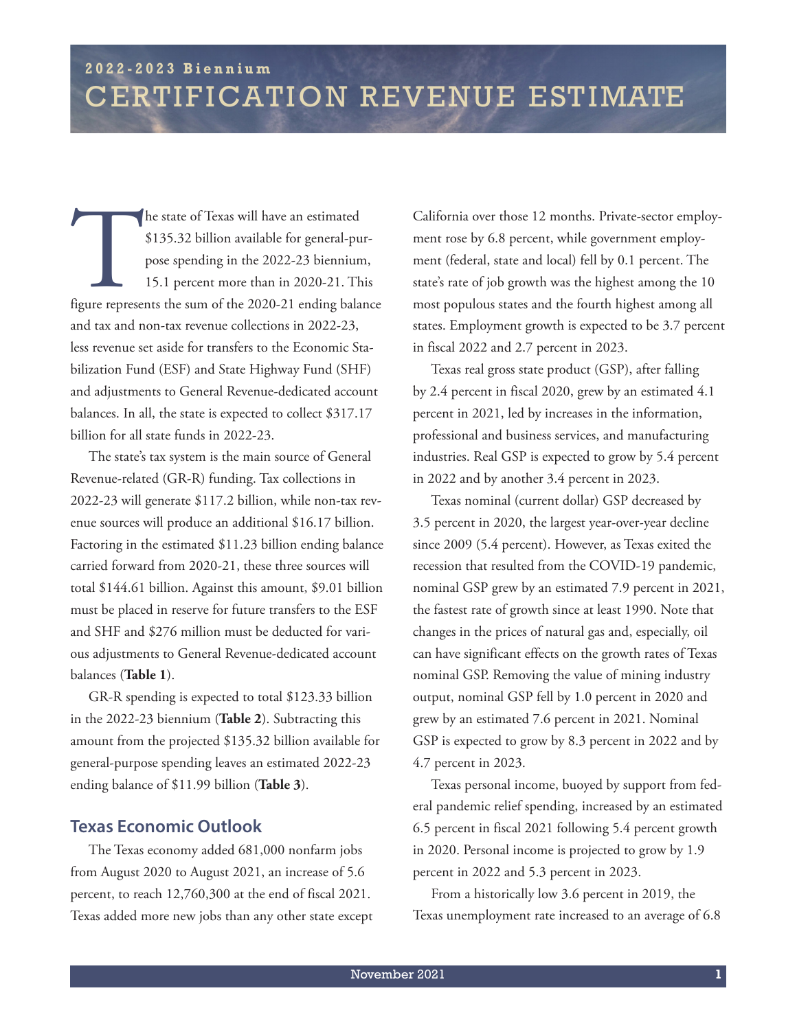he state of Texas will have an estimated<br>
\$135.32 billion available for general-pur-<br>
pose spending in the 2022-23 biennium,<br>
15.1 percent more than in 2020-21. This<br>
figure represents the sum of the 2020-21 ending balance \$135.32 billion available for general-purpose spending in the 2022-23 biennium, 15.1 percent more than in 2020-21. This and tax and non-tax revenue collections in 2022-23, less revenue set aside for transfers to the Economic Stabilization Fund (ESF) and State Highway Fund (SHF) and adjustments to General Revenue-dedicated account balances. In all, the state is expected to collect \$317.17 billion for all state funds in 2022-23.

The state's tax system is the main source of General Revenue-related (GR-R) funding. Tax collections in 2022-23 will generate \$117.2 billion, while non-tax revenue sources will produce an additional \$16.17 billion. Factoring in the estimated \$11.23 billion ending balance carried forward from 2020-21, these three sources will total \$144.61 billion. Against this amount, \$9.01 billion must be placed in reserve for future transfers to the ESF and SHF and \$276 million must be deducted for various adjustments to General Revenue-dedicated account balances (**Table 1**).

GR-R spending is expected to total \$123.33 billion in the 2022-23 biennium (**Table 2**). Subtracting this amount from the projected \$135.32 billion available for general-purpose spending leaves an estimated 2022-23 ending balance of \$11.99 billion (**Table 3**).

#### **Texas Economic Outlook**

The Texas economy added 681,000 nonfarm jobs from August 2020 to August 2021, an increase of 5.6 percent, to reach 12,760,300 at the end of fiscal 2021. Texas added more new jobs than any other state except

California over those 12 months. Private-sector employment rose by 6.8 percent, while government employment (federal, state and local) fell by 0.1 percent. The state's rate of job growth was the highest among the 10 most populous states and the fourth highest among all states. Employment growth is expected to be 3.7 percent in fiscal 2022 and 2.7 percent in 2023.

Texas real gross state product (GSP), after falling by 2.4 percent in fiscal 2020, grew by an estimated 4.1 percent in 2021, led by increases in the information, professional and business services, and manufacturing industries. Real GSP is expected to grow by 5.4 percent in 2022 and by another 3.4 percent in 2023.

Texas nominal (current dollar) GSP decreased by 3.5 percent in 2020, the largest year-over-year decline since 2009 (5.4 percent). However, as Texas exited the recession that resulted from the COVID-19 pandemic, nominal GSP grew by an estimated 7.9 percent in 2021, the fastest rate of growth since at least 1990. Note that changes in the prices of natural gas and, especially, oil can have significant effects on the growth rates of Texas nominal GSP. Removing the value of mining industry output, nominal GSP fell by 1.0 percent in 2020 and grew by an estimated 7.6 percent in 2021. Nominal GSP is expected to grow by 8.3 percent in 2022 and by 4.7 percent in 2023.

Texas personal income, buoyed by support from federal pandemic relief spending, increased by an estimated 6.5 percent in fiscal 2021 following 5.4 percent growth in 2020. Personal income is projected to grow by 1.9 percent in 2022 and 5.3 percent in 2023.

From a historically low 3.6 percent in 2019, the Texas unemployment rate increased to an average of 6.8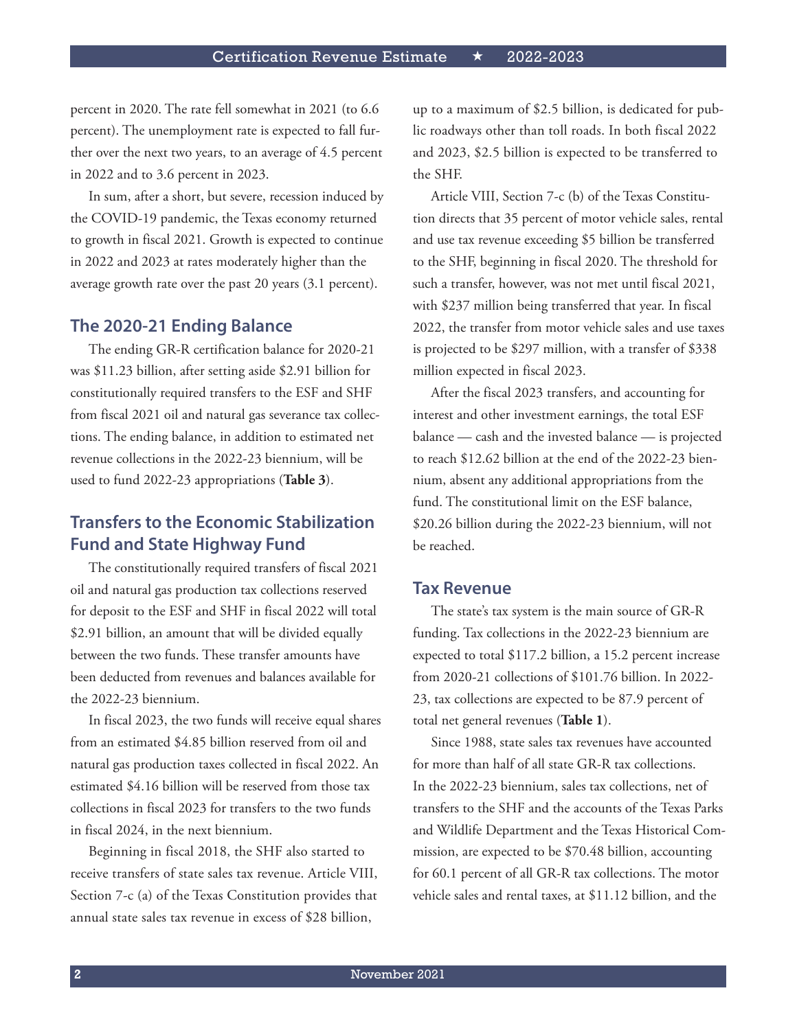percent in 2020. The rate fell somewhat in 2021 (to 6.6 percent). The unemployment rate is expected to fall further over the next two years, to an average of 4.5 percent in 2022 and to 3.6 percent in 2023.

In sum, after a short, but severe, recession induced by the COVID-19 pandemic, the Texas economy returned to growth in fiscal 2021. Growth is expected to continue in 2022 and 2023 at rates moderately higher than the average growth rate over the past 20 years (3.1 percent).

#### **The 2020-21 Ending Balance**

The ending GR-R certification balance for 2020-21 was \$11.23 billion, after setting aside \$2.91 billion for constitutionally required transfers to the ESF and SHF from fiscal 2021 oil and natural gas severance tax collections. The ending balance, in addition to estimated net revenue collections in the 2022-23 biennium, will be used to fund 2022-23 appropriations (**Table 3**).

#### **Transfers to the Economic Stabilization Fund and State Highway Fund**

The constitutionally required transfers of fiscal 2021 oil and natural gas production tax collections reserved for deposit to the ESF and SHF in fiscal 2022 will total \$2.91 billion, an amount that will be divided equally between the two funds. These transfer amounts have been deducted from revenues and balances available for the 2022-23 biennium.

In fiscal 2023, the two funds will receive equal shares from an estimated \$4.85 billion reserved from oil and natural gas production taxes collected in fiscal 2022. An estimated \$4.16 billion will be reserved from those tax collections in fiscal 2023 for transfers to the two funds in fiscal 2024, in the next biennium.

Beginning in fiscal 2018, the SHF also started to receive transfers of state sales tax revenue. Article VIII, Section 7-c (a) of the Texas Constitution provides that annual state sales tax revenue in excess of \$28 billion,

up to a maximum of \$2.5 billion, is dedicated for public roadways other than toll roads. In both fiscal 2022 and 2023, \$2.5 billion is expected to be transferred to the SHF.

Article VIII, Section 7-c (b) of the Texas Constitution directs that 35 percent of motor vehicle sales, rental and use tax revenue exceeding \$5 billion be transferred to the SHF, beginning in fiscal 2020. The threshold for such a transfer, however, was not met until fiscal 2021, with \$237 million being transferred that year. In fiscal 2022, the transfer from motor vehicle sales and use taxes is projected to be \$297 million, with a transfer of \$338 million expected in fiscal 2023.

After the fiscal 2023 transfers, and accounting for interest and other investment earnings, the total ESF balance — cash and the invested balance — is projected to reach \$12.62 billion at the end of the 2022-23 biennium, absent any additional appropriations from the fund. The constitutional limit on the ESF balance, \$20.26 billion during the 2022-23 biennium, will not be reached.

#### **Tax Revenue**

The state's tax system is the main source of GR-R funding. Tax collections in the 2022-23 biennium are expected to total \$117.2 billion, a 15.2 percent increase from 2020-21 collections of \$101.76 billion. In 2022- 23, tax collections are expected to be 87.9 percent of total net general revenues (**Table 1**).

Since 1988, state sales tax revenues have accounted for more than half of all state GR-R tax collections. In the 2022-23 biennium, sales tax collections, net of transfers to the SHF and the accounts of the Texas Parks and Wildlife Department and the Texas Historical Commission, are expected to be \$70.48 billion, accounting for 60.1 percent of all GR-R tax collections. The motor vehicle sales and rental taxes, at \$11.12 billion, and the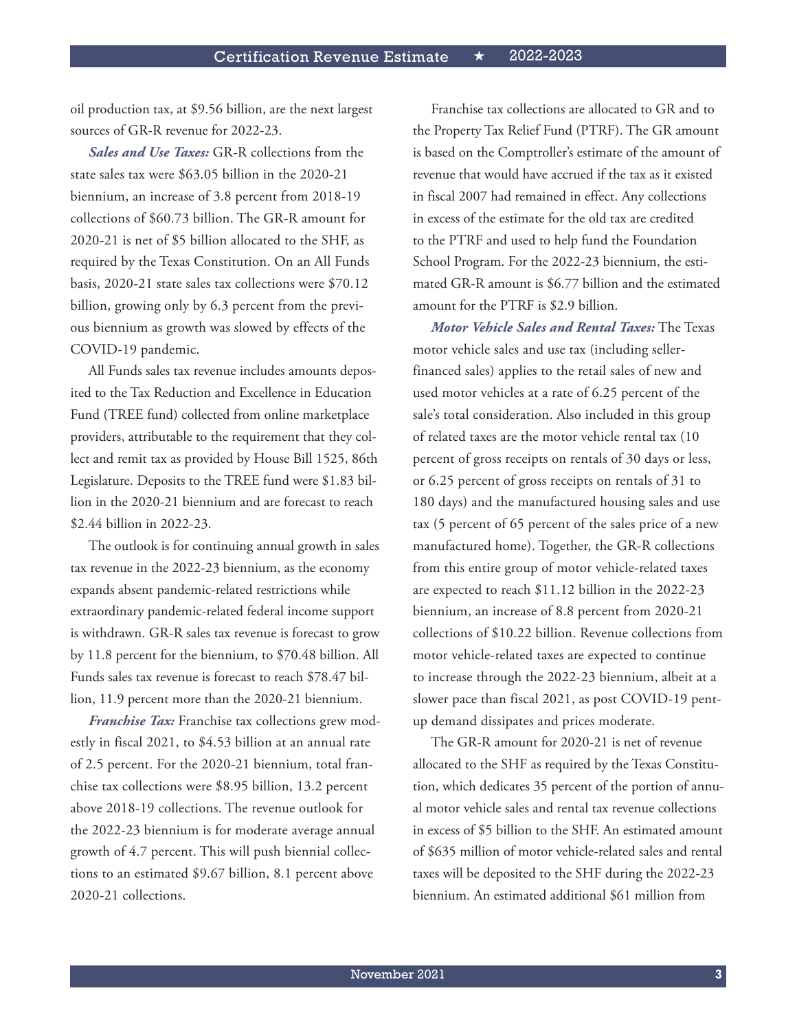oil production tax, at \$9.56 billion, are the next largest sources of GR-R revenue for 2022-23.

*Sales and Use Taxes:* GR-R collections from the state sales tax were \$63.05 billion in the 2020-21 biennium, an increase of 3.8 percent from 2018-19 collections of \$60.73 billion. The GR-R amount for 2020-21 is net of \$5 billion allocated to the SHF, as required by the Texas Constitution. On an All Funds basis, 2020-21 state sales tax collections were \$70.12 billion, growing only by 6.3 percent from the previous biennium as growth was slowed by effects of the COVID-19 pandemic.

All Funds sales tax revenue includes amounts deposited to the Tax Reduction and Excellence in Education Fund (TREE fund) collected from online marketplace providers, attributable to the requirement that they collect and remit tax as provided by House Bill 1525, 86th Legislature. Deposits to the TREE fund were \$1.83 billion in the 2020-21 biennium and are forecast to reach \$2.44 billion in 2022-23.

The outlook is for continuing annual growth in sales tax revenue in the 2022-23 biennium, as the economy expands absent pandemic-related restrictions while extraordinary pandemic-related federal income support is withdrawn. GR-R sales tax revenue is forecast to grow by 11.8 percent for the biennium, to \$70.48 billion. All Funds sales tax revenue is forecast to reach \$78.47 billion, 11.9 percent more than the 2020-21 biennium.

*Franchise Tax:* Franchise tax collections grew modestly in fiscal 2021, to \$4.53 billion at an annual rate of 2.5 percent. For the 2020-21 biennium, total franchise tax collections were \$8.95 billion, 13.2 percent above 2018-19 collections. The revenue outlook for the 2022-23 biennium is for moderate average annual growth of 4.7 percent. This will push biennial collections to an estimated \$9.67 billion, 8.1 percent above 2020-21 collections.

Franchise tax collections are allocated to GR and to the Property Tax Relief Fund (PTRF). The GR amount is based on the Comptroller's estimate of the amount of revenue that would have accrued if the tax as it existed in fiscal 2007 had remained in effect. Any collections in excess of the estimate for the old tax are credited to the PTRF and used to help fund the Foundation School Program. For the 2022-23 biennium, the estimated GR-R amount is \$6.77 billion and the estimated amount for the PTRF is \$2.9 billion.

*Motor Vehicle Sales and Rental Taxes:* The Texas motor vehicle sales and use tax (including sellerfinanced sales) applies to the retail sales of new and used motor vehicles at a rate of 6.25 percent of the sale's total consideration. Also included in this group of related taxes are the motor vehicle rental tax (10 percent of gross receipts on rentals of 30 days or less, or 6.25 percent of gross receipts on rentals of 31 to 180 days) and the manufactured housing sales and use tax (5 percent of 65 percent of the sales price of a new manufactured home). Together, the GR-R collections from this entire group of motor vehicle-related taxes are expected to reach \$11.12 billion in the 2022-23 biennium, an increase of 8.8 percent from 2020-21 collections of \$10.22 billion. Revenue collections from motor vehicle-related taxes are expected to continue to increase through the 2022-23 biennium, albeit at a slower pace than fiscal 2021, as post COVID-19 pentup demand dissipates and prices moderate.

The GR-R amount for 2020-21 is net of revenue allocated to the SHF as required by the Texas Constitution, which dedicates 35 percent of the portion of annual motor vehicle sales and rental tax revenue collections in excess of \$5 billion to the SHF. An estimated amount of \$635 million of motor vehicle-related sales and rental taxes will be deposited to the SHF during the 2022-23 biennium. An estimated additional \$61 million from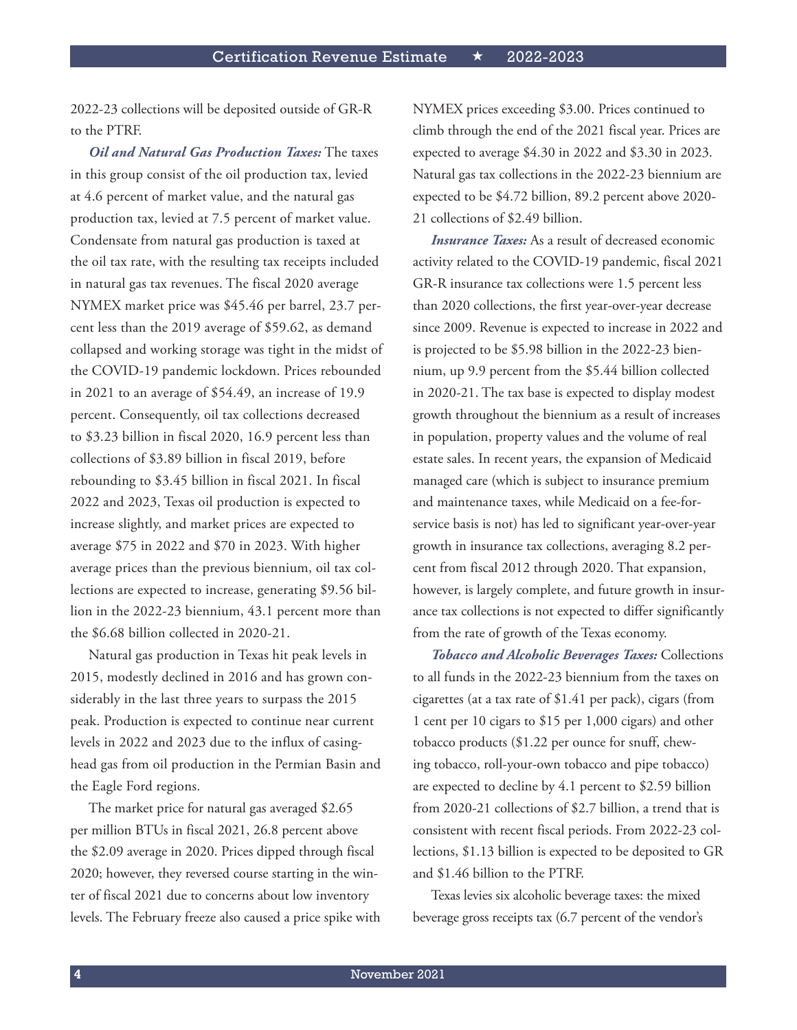2022-23 collections will be deposited outside of GR-R to the PTRF.

*Oil and Natural Gas Production Taxes:* The taxes in this group consist of the oil production tax, levied at 4.6 percent of market value, and the natural gas production tax, levied at 7.5 percent of market value. Condensate from natural gas production is taxed at the oil tax rate, with the resulting tax receipts included in natural gas tax revenues. The fiscal 2020 average NYMEX market price was \$45.46 per barrel, 23.7 percent less than the 2019 average of \$59.62, as demand collapsed and working storage was tight in the midst of the COVID-19 pandemic lockdown. Prices rebounded in 2021 to an average of \$54.49, an increase of 19.9 percent. Consequently, oil tax collections decreased to \$3.23 billion in fiscal 2020, 16.9 percent less than collections of \$3.89 billion in fiscal 2019, before rebounding to \$3.45 billion in fiscal 2021. In fiscal 2022 and 2023, Texas oil production is expected to increase slightly, and market prices are expected to average \$75 in 2022 and \$70 in 2023. With higher average prices than the previous biennium, oil tax collections are expected to increase, generating \$9.56 billion in the 2022-23 biennium, 43.1 percent more than the \$6.68 billion collected in 2020-21.

Natural gas production in Texas hit peak levels in 2015, modestly declined in 2016 and has grown considerably in the last three years to surpass the 2015 peak. Production is expected to continue near current levels in 2022 and 2023 due to the influx of casinghead gas from oil production in the Permian Basin and the Eagle Ford regions.

The market price for natural gas averaged \$2.65 per million BTUs in fiscal 2021, 26.8 percent above the \$2.09 average in 2020. Prices dipped through fiscal 2020; however, they reversed course starting in the winter of fiscal 2021 due to concerns about low inventory levels. The February freeze also caused a price spike with NYMEX prices exceeding \$3.00. Prices continued to climb through the end of the 2021 fiscal year. Prices are expected to average \$4.30 in 2022 and \$3.30 in 2023. Natural gas tax collections in the 2022-23 biennium are expected to be \$4.72 billion, 89.2 percent above 2020- 21 collections of \$2.49 billion.

*Insurance Taxes:* As a result of decreased economic activity related to the COVID-19 pandemic, fiscal 2021 GR-R insurance tax collections were 1.5 percent less than 2020 collections, the first year-over-year decrease since 2009. Revenue is expected to increase in 2022 and is projected to be \$5.98 billion in the 2022-23 biennium, up 9.9 percent from the \$5.44 billion collected in 2020-21. The tax base is expected to display modest growth throughout the biennium as a result of increases in population, property values and the volume of real estate sales. In recent years, the expansion of Medicaid managed care (which is subject to insurance premium and maintenance taxes, while Medicaid on a fee-forservice basis is not) has led to significant year-over-year growth in insurance tax collections, averaging 8.2 percent from fiscal 2012 through 2020. That expansion, however, is largely complete, and future growth in insurance tax collections is not expected to differ significantly from the rate of growth of the Texas economy.

*Tobacco and Alcoholic Beverages Taxes:* Collections to all funds in the 2022-23 biennium from the taxes on cigarettes (at a tax rate of \$1.41 per pack), cigars (from 1 cent per 10 cigars to \$15 per 1,000 cigars) and other tobacco products (\$1.22 per ounce for snuff, chewing tobacco, roll-your-own tobacco and pipe tobacco) are expected to decline by 4.1 percent to \$2.59 billion from 2020-21 collections of \$2.7 billion, a trend that is consistent with recent fiscal periods. From 2022-23 collections, \$1.13 billion is expected to be deposited to GR and \$1.46 billion to the PTRF.

Texas levies six alcoholic beverage taxes: the mixed beverage gross receipts tax (6.7 percent of the vendor's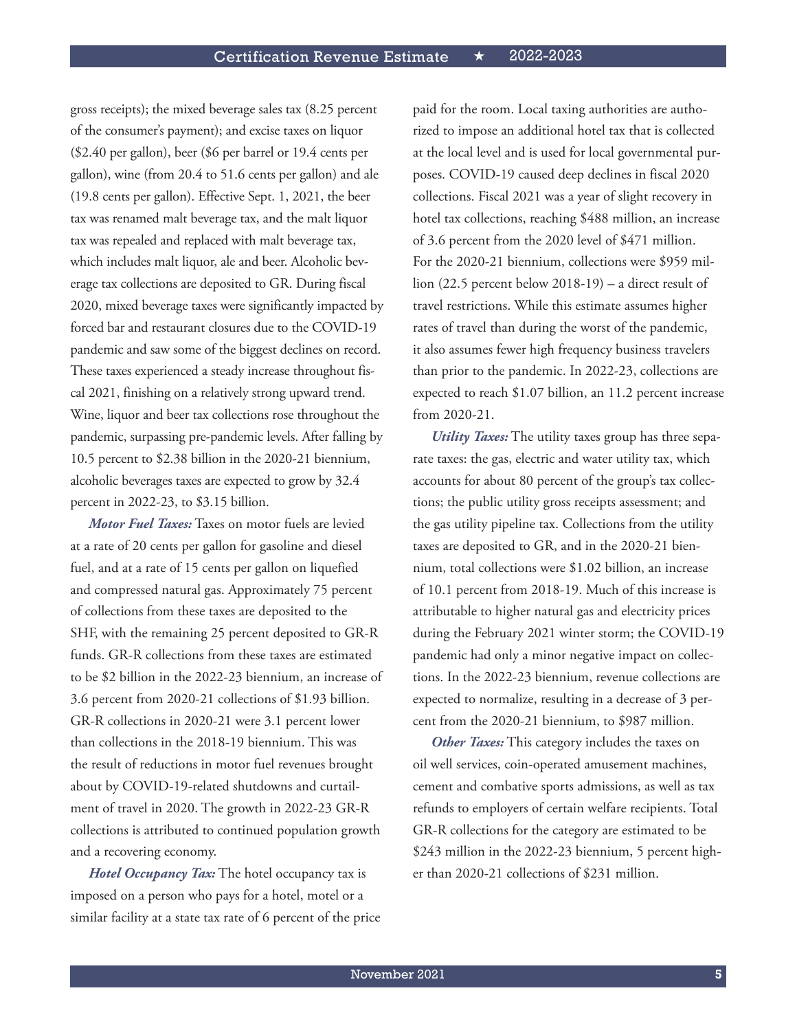gross receipts); the mixed beverage sales tax (8.25 percent of the consumer's payment); and excise taxes on liquor (\$2.40 per gallon), beer (\$6 per barrel or 19.4 cents per gallon), wine (from 20.4 to 51.6 cents per gallon) and ale (19.8 cents per gallon). Effective Sept. 1, 2021, the beer tax was renamed malt beverage tax, and the malt liquor tax was repealed and replaced with malt beverage tax, which includes malt liquor, ale and beer. Alcoholic beverage tax collections are deposited to GR. During fiscal 2020, mixed beverage taxes were significantly impacted by forced bar and restaurant closures due to the COVID-19 pandemic and saw some of the biggest declines on record. These taxes experienced a steady increase throughout fiscal 2021, finishing on a relatively strong upward trend. Wine, liquor and beer tax collections rose throughout the pandemic, surpassing pre-pandemic levels. After falling by 10.5 percent to \$2.38 billion in the 2020-21 biennium, alcoholic beverages taxes are expected to grow by 32.4 percent in 2022-23, to \$3.15 billion.

*Motor Fuel Taxes:* Taxes on motor fuels are levied at a rate of 20 cents per gallon for gasoline and diesel fuel, and at a rate of 15 cents per gallon on liquefied and compressed natural gas. Approximately 75 percent of collections from these taxes are deposited to the SHF, with the remaining 25 percent deposited to GR-R funds. GR-R collections from these taxes are estimated to be \$2 billion in the 2022-23 biennium, an increase of 3.6 percent from 2020-21 collections of \$1.93 billion. GR-R collections in 2020-21 were 3.1 percent lower than collections in the 2018-19 biennium. This was the result of reductions in motor fuel revenues brought about by COVID-19-related shutdowns and curtailment of travel in 2020. The growth in 2022-23 GR-R collections is attributed to continued population growth and a recovering economy.

*Hotel Occupancy Tax:* The hotel occupancy tax is imposed on a person who pays for a hotel, motel or a similar facility at a state tax rate of 6 percent of the price paid for the room. Local taxing authorities are authorized to impose an additional hotel tax that is collected at the local level and is used for local governmental purposes. COVID-19 caused deep declines in fiscal 2020 collections. Fiscal 2021 was a year of slight recovery in hotel tax collections, reaching \$488 million, an increase of 3.6 percent from the 2020 level of \$471 million. For the 2020-21 biennium, collections were \$959 million (22.5 percent below 2018-19) – a direct result of travel restrictions. While this estimate assumes higher rates of travel than during the worst of the pandemic, it also assumes fewer high frequency business travelers than prior to the pandemic. In 2022-23, collections are expected to reach \$1.07 billion, an 11.2 percent increase from 2020-21.

*Utility Taxes:* The utility taxes group has three separate taxes: the gas, electric and water utility tax, which accounts for about 80 percent of the group's tax collections; the public utility gross receipts assessment; and the gas utility pipeline tax. Collections from the utility taxes are deposited to GR, and in the 2020-21 biennium, total collections were \$1.02 billion, an increase of 10.1 percent from 2018-19. Much of this increase is attributable to higher natural gas and electricity prices during the February 2021 winter storm; the COVID-19 pandemic had only a minor negative impact on collections. In the 2022-23 biennium, revenue collections are expected to normalize, resulting in a decrease of 3 percent from the 2020-21 biennium, to \$987 million.

*Other Taxes:* This category includes the taxes on oil well services, coin-operated amusement machines, cement and combative sports admissions, as well as tax refunds to employers of certain welfare recipients. Total GR-R collections for the category are estimated to be \$243 million in the 2022-23 biennium, 5 percent higher than 2020-21 collections of \$231 million.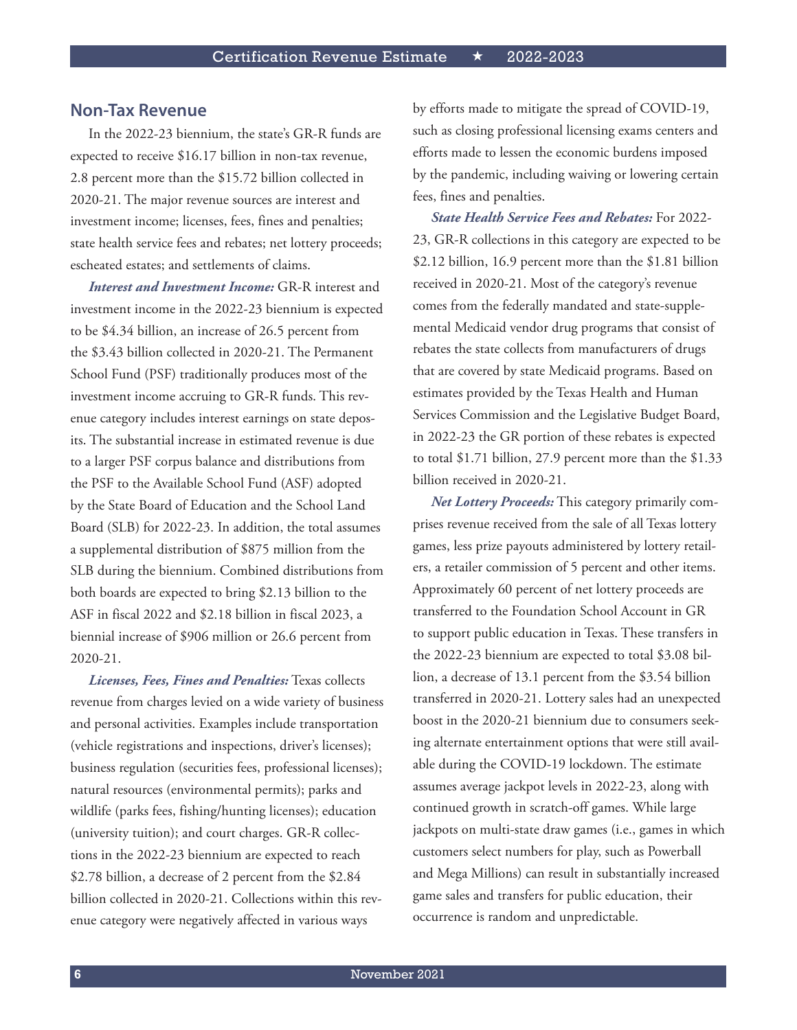#### **Non-Tax Revenue**

In the 2022-23 biennium, the state's GR-R funds are expected to receive \$16.17 billion in non-tax revenue, 2.8 percent more than the \$15.72 billion collected in 2020-21. The major revenue sources are interest and investment income; licenses, fees, fines and penalties; state health service fees and rebates; net lottery proceeds; escheated estates; and settlements of claims.

*Interest and Investment Income:* GR-R interest and investment income in the 2022-23 biennium is expected to be \$4.34 billion, an increase of 26.5 percent from the \$3.43 billion collected in 2020-21. The Permanent School Fund (PSF) traditionally produces most of the investment income accruing to GR-R funds. This revenue category includes interest earnings on state deposits. The substantial increase in estimated revenue is due to a larger PSF corpus balance and distributions from the PSF to the Available School Fund (ASF) adopted by the State Board of Education and the School Land Board (SLB) for 2022-23. In addition, the total assumes a supplemental distribution of \$875 million from the SLB during the biennium. Combined distributions from both boards are expected to bring \$2.13 billion to the ASF in fiscal 2022 and \$2.18 billion in fiscal 2023, a biennial increase of \$906 million or 26.6 percent from 2020-21.

*Licenses, Fees, Fines and Penalties:* Texas collects revenue from charges levied on a wide variety of business and personal activities. Examples include transportation (vehicle registrations and inspections, driver's licenses); business regulation (securities fees, professional licenses); natural resources (environmental permits); parks and wildlife (parks fees, fishing/hunting licenses); education (university tuition); and court charges. GR-R collections in the 2022-23 biennium are expected to reach \$2.78 billion, a decrease of 2 percent from the \$2.84 billion collected in 2020-21. Collections within this revenue category were negatively affected in various ways

by efforts made to mitigate the spread of COVID-19, such as closing professional licensing exams centers and efforts made to lessen the economic burdens imposed by the pandemic, including waiving or lowering certain fees, fines and penalties.

*State Health Service Fees and Rebates:* For 2022- 23, GR-R collections in this category are expected to be \$2.12 billion, 16.9 percent more than the \$1.81 billion received in 2020-21. Most of the category's revenue comes from the federally mandated and state-supplemental Medicaid vendor drug programs that consist of rebates the state collects from manufacturers of drugs that are covered by state Medicaid programs. Based on estimates provided by the Texas Health and Human Services Commission and the Legislative Budget Board, in 2022-23 the GR portion of these rebates is expected to total \$1.71 billion, 27.9 percent more than the \$1.33 billion received in 2020-21.

*Net Lottery Proceeds:* This category primarily comprises revenue received from the sale of all Texas lottery games, less prize payouts administered by lottery retailers, a retailer commission of 5 percent and other items. Approximately 60 percent of net lottery proceeds are transferred to the Foundation School Account in GR to support public education in Texas. These transfers in the 2022-23 biennium are expected to total \$3.08 billion, a decrease of 13.1 percent from the \$3.54 billion transferred in 2020-21. Lottery sales had an unexpected boost in the 2020-21 biennium due to consumers seeking alternate entertainment options that were still available during the COVID-19 lockdown. The estimate assumes average jackpot levels in 2022-23, along with continued growth in scratch-off games. While large jackpots on multi-state draw games (i.e., games in which customers select numbers for play, such as Powerball and Mega Millions) can result in substantially increased game sales and transfers for public education, their occurrence is random and unpredictable.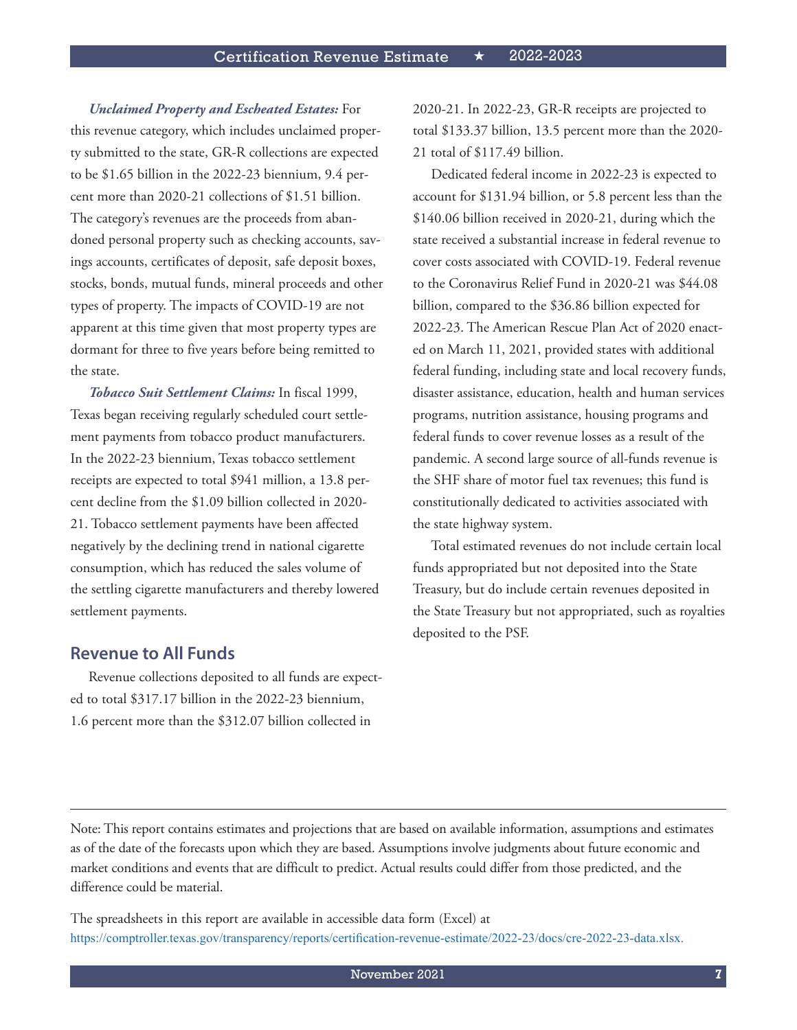*Unclaimed Property and Escheated Estates:* For

this revenue category, which includes unclaimed property submitted to the state, GR-R collections are expected to be \$1.65 billion in the 2022-23 biennium, 9.4 percent more than 2020-21 collections of \$1.51 billion. The category's revenues are the proceeds from abandoned personal property such as checking accounts, savings accounts, certificates of deposit, safe deposit boxes, stocks, bonds, mutual funds, mineral proceeds and other types of property. The impacts of COVID-19 are not apparent at this time given that most property types are dormant for three to five years before being remitted to the state.

*Tobacco Suit Settlement Claims:* In fiscal 1999, Texas began receiving regularly scheduled court settlement payments from tobacco product manufacturers. In the 2022-23 biennium, Texas tobacco settlement receipts are expected to total \$941 million, a 13.8 percent decline from the \$1.09 billion collected in 2020- 21. Tobacco settlement payments have been affected negatively by the declining trend in national cigarette consumption, which has reduced the sales volume of the settling cigarette manufacturers and thereby lowered settlement payments.

#### **Revenue to All Funds**

Revenue collections deposited to all funds are expected to total \$317.17 billion in the 2022-23 biennium, 1.6 percent more than the \$312.07 billion collected in

2020-21. In 2022-23, GR-R receipts are projected to total \$133.37 billion, 13.5 percent more than the 2020- 21 total of \$117.49 billion.

Dedicated federal income in 2022-23 is expected to account for \$131.94 billion, or 5.8 percent less than the \$140.06 billion received in 2020-21, during which the state received a substantial increase in federal revenue to cover costs associated with COVID-19. Federal revenue to the Coronavirus Relief Fund in 2020-21 was \$44.08 billion, compared to the \$36.86 billion expected for 2022-23. The American Rescue Plan Act of 2020 enacted on March 11, 2021, provided states with additional federal funding, including state and local recovery funds, disaster assistance, education, health and human services programs, nutrition assistance, housing programs and federal funds to cover revenue losses as a result of the pandemic. A second large source of all-funds revenue is the SHF share of motor fuel tax revenues; this fund is constitutionally dedicated to activities associated with the state highway system.

Total estimated revenues do not include certain local funds appropriated but not deposited into the State Treasury, but do include certain revenues deposited in the State Treasury but not appropriated, such as royalties deposited to the PSF.

Note: This report contains estimates and projections that are based on available information, assumptions and estimates as of the date of the forecasts upon which they are based. Assumptions involve judgments about future economic and market conditions and events that are difficult to predict. Actual results could differ from those predicted, and the difference could be material.

The spreadsheets in this report are available in accessible data form (Excel) at <https://comptroller.texas.gov/transparency/reports/certification-revenue-estimate/2022-23/docs/cre-2022-23-data.xlsx>.

November 2021 **7**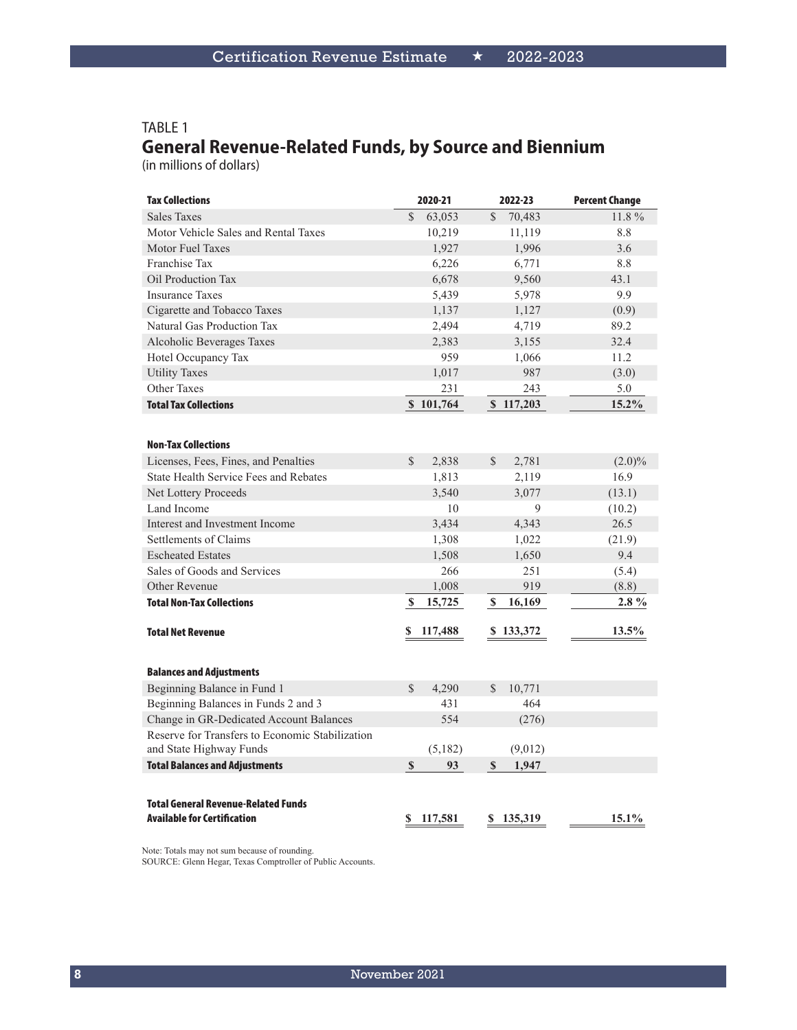#### TABLE 1 **General Revenue-Related Funds, by Source and Biennium**

(in millions of dollars)

| <b>Tax Collections</b>                          | 2020-21                 | 2022-23                 | <b>Percent Change</b> |
|-------------------------------------------------|-------------------------|-------------------------|-----------------------|
| <b>Sales Taxes</b>                              | $\mathcal{S}$<br>63,053 | $\mathcal{S}$<br>70,483 | 11.8%                 |
| Motor Vehicle Sales and Rental Taxes            | 10,219                  | 11,119                  | 8.8                   |
| <b>Motor Fuel Taxes</b>                         | 1,927                   | 1,996                   | 3.6                   |
| Franchise Tax                                   | 6,226                   | 6,771                   | 8.8                   |
| Oil Production Tax                              | 6,678                   | 9,560                   | 43.1                  |
| <b>Insurance Taxes</b>                          | 5,439                   | 5,978                   | 9.9                   |
| Cigarette and Tobacco Taxes                     | 1,137                   | 1,127                   | (0.9)                 |
| Natural Gas Production Tax                      | 2,494                   | 4,719                   | 89.2                  |
| Alcoholic Beverages Taxes                       | 2,383                   | 3,155                   | 32.4                  |
| Hotel Occupancy Tax                             | 959                     | 1,066                   | 11.2                  |
| <b>Utility Taxes</b>                            | 1,017                   | 987                     | (3.0)                 |
| <b>Other Taxes</b>                              | 231                     | 243                     | 5.0                   |
| <b>Total Tax Collections</b>                    | \$101,764               | \$117,203               | 15.2%                 |
|                                                 |                         |                         |                       |
| <b>Non-Tax Collections</b>                      |                         |                         |                       |
| Licenses, Fees, Fines, and Penalties            | \$<br>2,838             | \$<br>2,781             | $(2.0)\%$             |
| State Health Service Fees and Rebates           | 1,813                   | 2,119                   | 16.9                  |
| <b>Net Lottery Proceeds</b>                     | 3,540                   | 3,077                   | (13.1)                |
| Land Income                                     | 10                      | 9                       | (10.2)                |
| Interest and Investment Income                  | 3,434                   | 4,343                   | 26.5                  |
| Settlements of Claims                           | 1,308                   | 1,022                   | (21.9)                |
| <b>Escheated Estates</b>                        | 1,508                   | 1,650                   | 9.4                   |
| Sales of Goods and Services                     | 266                     | 251                     | (5.4)                 |
| Other Revenue                                   | 1,008                   | 919                     | (8.8)                 |
| <b>Total Non-Tax Collections</b>                | \$<br>15,725            | $\mathbb S$<br>16,169   | $2.8\%$               |
|                                                 |                         |                         |                       |
| <b>Total Net Revenue</b>                        | S<br>117,488            | \$133,372               | 13.5%                 |
|                                                 |                         |                         |                       |
| <b>Balances and Adjustments</b>                 |                         |                         |                       |
| Beginning Balance in Fund 1                     | 4,290<br>$\mathcal{S}$  | $\mathbb{S}$<br>10,771  |                       |
| Beginning Balances in Funds 2 and 3             | 431                     | 464                     |                       |
| Change in GR-Dedicated Account Balances         | 554                     | (276)                   |                       |
| Reserve for Transfers to Economic Stabilization |                         |                         |                       |
| and State Highway Funds                         | (5,182)                 | (9,012)                 |                       |
| <b>Total Balances and Adjustments</b>           | $\mathbb{S}$<br>93      | 1,947<br>\$             |                       |
|                                                 |                         |                         |                       |
| <b>Total General Revenue-Related Funds</b>      |                         |                         |                       |
| <b>Available for Certification</b>              | 117,581<br>S            | 135,319<br>S            | $15.1\%$              |
|                                                 |                         |                         |                       |

Note: Totals may not sum because of rounding. SOURCE: Glenn Hegar, Texas Comptroller of Public Accounts.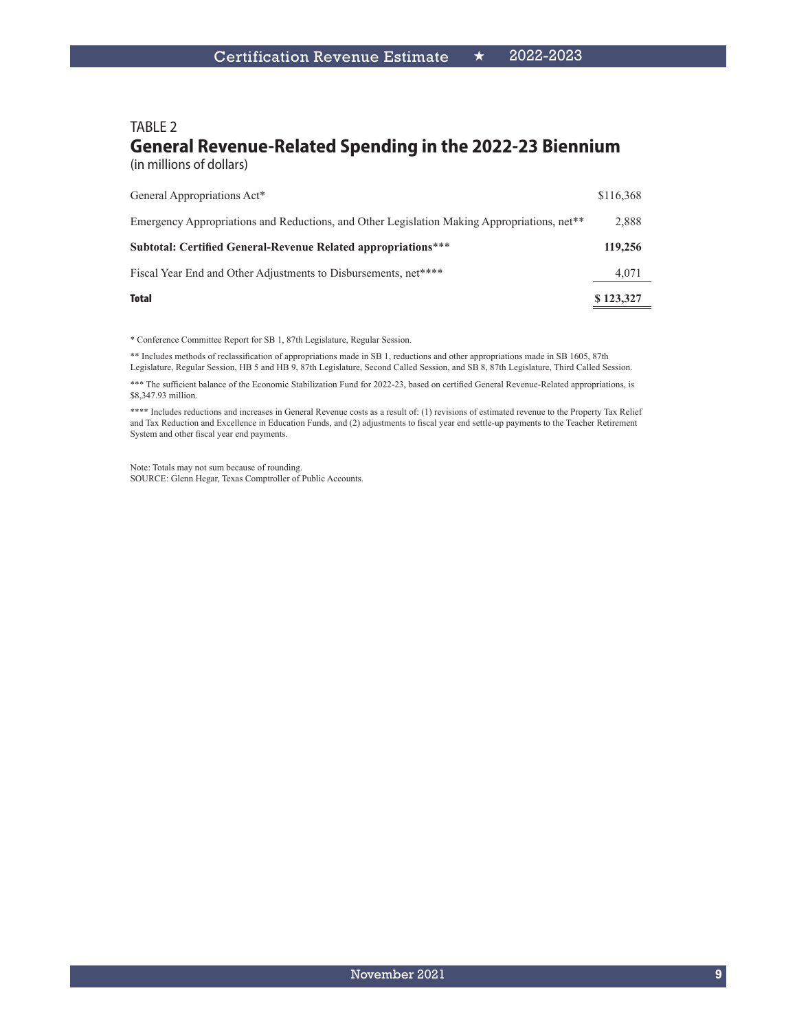#### TABLE 2 **General Revenue-Related Spending in the 2022-23 Biennium** (in millions of dollars)

| Total                                                                                                   | \$123,327 |
|---------------------------------------------------------------------------------------------------------|-----------|
| Fiscal Year End and Other Adjustments to Disbursements, net****                                         | 4,071     |
| <b>Subtotal: Certified General-Revenue Related appropriations***</b>                                    | 119,256   |
| Emergency Appropriations and Reductions, and Other Legislation Making Appropriations, net <sup>**</sup> | 2,888     |
| General Appropriations Act*                                                                             | \$116,368 |

\* Conference Committee Report for SB 1, 87th Legislature, Regular Session.

\*\* Includes methods of reclassification of appropriations made in SB 1, reductions and other appropriations made in SB 1605, 87th Legislature, Regular Session, HB 5 and HB 9, 87th Legislature, Second Called Session, and SB 8, 87th Legislature, Third Called Session.

\*\*\* The sufficient balance of the Economic Stabilization Fund for 2022-23, based on certified General Revenue-Related appropriations, is \$8,347.93 million.

\*\*\*\* Includes reductions and increases in General Revenue costs as a result of: (1) revisions of estimated revenue to the Property Tax Relief and Tax Reduction and Excellence in Education Funds, and (2) adjustments to fiscal year end settle-up payments to the Teacher Retirement System and other fiscal year end payments.

Note: Totals may not sum because of rounding. SOURCE: Glenn Hegar, Texas Comptroller of Public Accounts.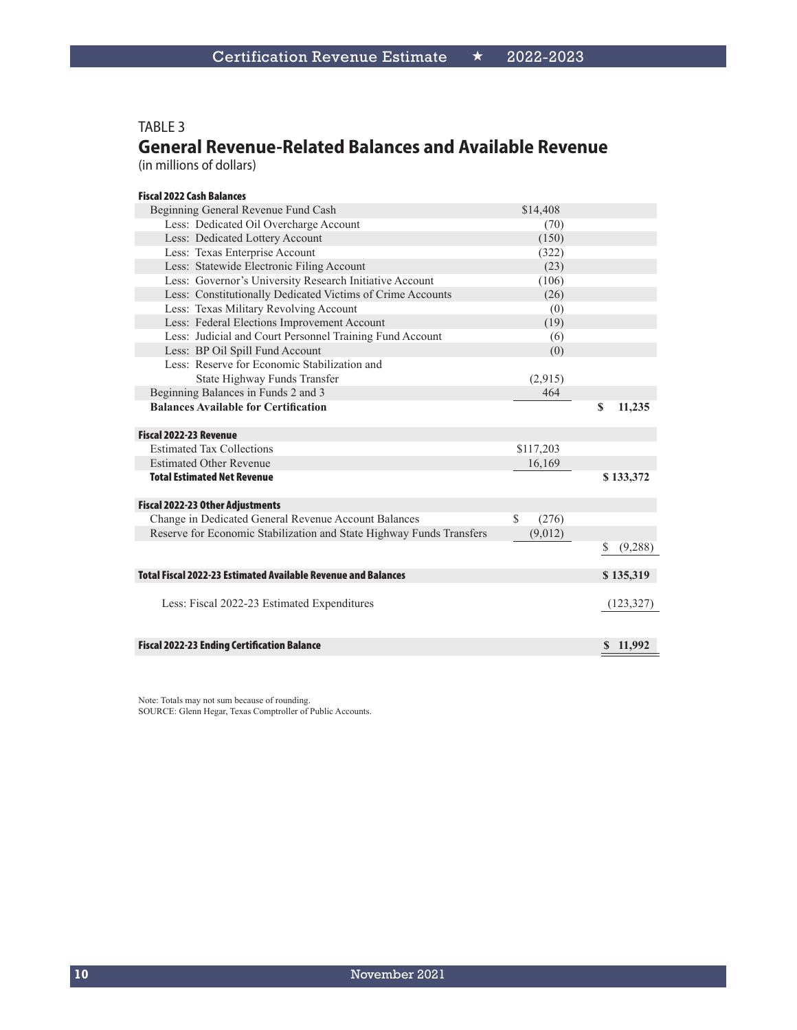#### TABLE 3

# **General Revenue-Related Balances and Available Revenue**

(in millions of dollars)

| <b>Fiscal 2022 Cash Balances</b>                                     |             |             |            |
|----------------------------------------------------------------------|-------------|-------------|------------|
| Beginning General Revenue Fund Cash                                  | \$14,408    |             |            |
| Less: Dedicated Oil Overcharge Account                               | (70)        |             |            |
| Less: Dedicated Lottery Account                                      | (150)       |             |            |
| Less: Texas Enterprise Account                                       | (322)       |             |            |
| Less: Statewide Electronic Filing Account                            | (23)        |             |            |
| Less: Governor's University Research Initiative Account              | (106)       |             |            |
| Less: Constitutionally Dedicated Victims of Crime Accounts           | (26)        |             |            |
| Less: Texas Military Revolving Account                               | (0)         |             |            |
| Less: Federal Elections Improvement Account                          | (19)        |             |            |
| Less: Judicial and Court Personnel Training Fund Account             | (6)         |             |            |
| Less: BP Oil Spill Fund Account                                      | (0)         |             |            |
| Less: Reserve for Economic Stabilization and                         |             |             |            |
| State Highway Funds Transfer                                         | (2,915)     |             |            |
| Beginning Balances in Funds 2 and 3                                  | 464         |             |            |
| <b>Balances Available for Certification</b>                          |             | $\mathbf S$ | 11,235     |
|                                                                      |             |             |            |
| Fiscal 2022-23 Revenue                                               |             |             |            |
| <b>Estimated Tax Collections</b>                                     | \$117,203   |             |            |
| <b>Estimated Other Revenue</b>                                       | 16,169      |             |            |
| <b>Total Estimated Net Revenue</b>                                   |             |             | \$133,372  |
|                                                                      |             |             |            |
| <b>Fiscal 2022-23 Other Adjustments</b>                              |             |             |            |
| Change in Dedicated General Revenue Account Balances                 | S.<br>(276) |             |            |
| Reserve for Economic Stabilization and State Highway Funds Transfers | (9,012)     |             |            |
|                                                                      |             | \$          | (9,288)    |
| <b>Total Fiscal 2022-23 Estimated Available Revenue and Balances</b> |             |             | \$135,319  |
|                                                                      |             |             |            |
| Less: Fiscal 2022-23 Estimated Expenditures                          |             |             | (123, 327) |
|                                                                      |             |             |            |
| <b>Fiscal 2022-23 Ending Certification Balance</b>                   |             |             | \$11,992   |
|                                                                      |             |             |            |

Note: Totals may not sum because of rounding. SOURCE: Glenn Hegar, Texas Comptroller of Public Accounts.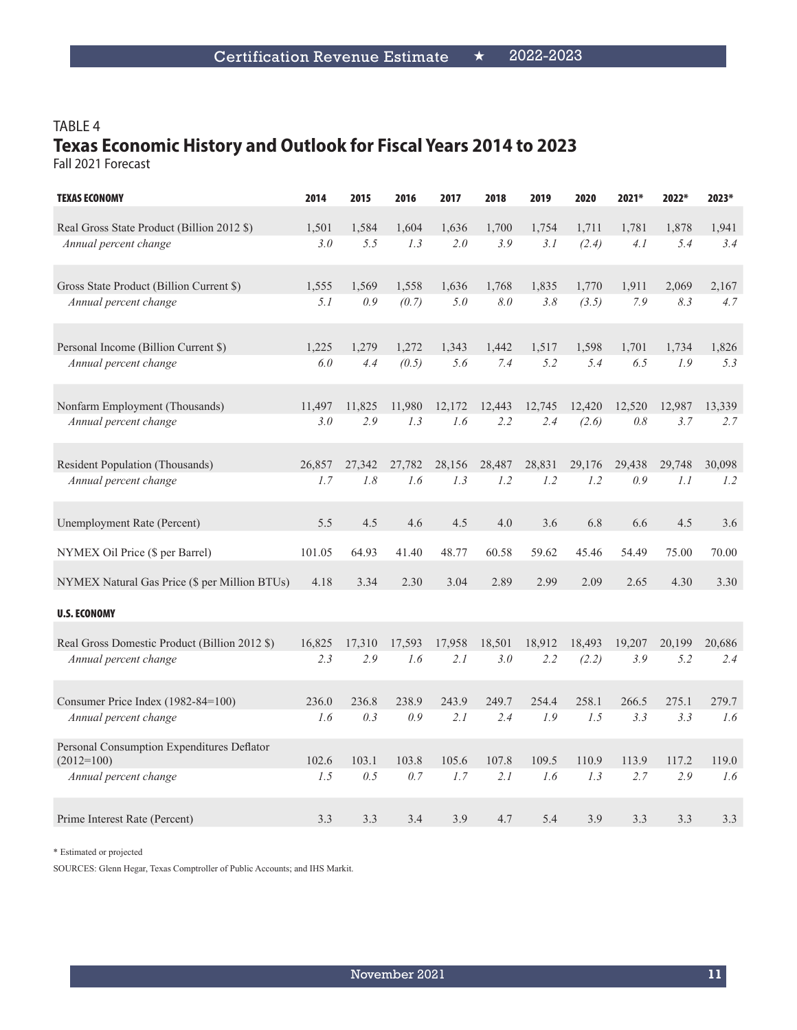# TABLE 4 **Texas Economic History and Outlook for Fiscal Years 2014 to 2023**

Fall 2021 Forecast

| <b>TEXAS ECONOMY</b>                                       | 2014   | 2015   | 2016   | 2017   | 2018   | 2019   | 2020   | 2021*  | 2022*  | 2023*  |
|------------------------------------------------------------|--------|--------|--------|--------|--------|--------|--------|--------|--------|--------|
| Real Gross State Product (Billion 2012 \$)                 | 1,501  | 1,584  | 1,604  | 1,636  | 1,700  | 1,754  | 1,711  | 1,781  | 1,878  | 1,941  |
| Annual percent change                                      | 3.0    | 5.5    | 1.3    | 2.0    | 3.9    | 3.1    | (2.4)  | 4.1    | 5.4    | 3.4    |
| Gross State Product (Billion Current \$)                   | 1,555  | 1,569  | 1,558  | 1,636  | 1,768  | 1,835  | 1,770  | 1,911  | 2,069  | 2,167  |
| Annual percent change                                      | 5.1    | 0.9    | (0.7)  | 5.0    | 8.0    | 3.8    | (3.5)  | 7.9    | 8.3    | 4.7    |
| Personal Income (Billion Current \$)                       | 1,225  | 1,279  | 1,272  | 1,343  | 1,442  | 1,517  | 1,598  | 1,701  | 1,734  | 1,826  |
| Annual percent change                                      | 6.0    | 4.4    | (0.5)  | 5.6    | 7.4    | 5.2    | 5.4    | 6.5    | 1.9    | 5.3    |
| Nonfarm Employment (Thousands)                             | 11.497 | 11.825 | 11.980 | 12,172 | 12.443 | 12.745 | 12,420 | 12.520 | 12,987 | 13,339 |
| Annual percent change                                      | 3.0    | 2.9    | 1.3    | 1.6    | 2.2    | 2.4    | (2.6)  | 0.8    | 3.7    | 2.7    |
| <b>Resident Population (Thousands)</b>                     | 26,857 | 27,342 | 27,782 | 28,156 | 28,487 | 28,831 | 29,176 | 29,438 | 29,748 | 30,098 |
| Annual percent change                                      | 1.7    | $1.8$  | 1.6    | 1.3    | 1.2    | 1.2    | 1.2    | 0.9    | 1.1    | 1.2    |
| Unemployment Rate (Percent)                                | 5.5    | 4.5    | 4.6    | 4.5    | 4.0    | 3.6    | 6.8    | 6.6    | 4.5    | 3.6    |
| NYMEX Oil Price (\$ per Barrel)                            | 101.05 | 64.93  | 41.40  | 48.77  | 60.58  | 59.62  | 45.46  | 54.49  | 75.00  | 70.00  |
| NYMEX Natural Gas Price (\$ per Million BTUs)              | 4.18   | 3.34   | 2.30   | 3.04   | 2.89   | 2.99   | 2.09   | 2.65   | 4.30   | 3.30   |
| <b>U.S. ECONOMY</b>                                        |        |        |        |        |        |        |        |        |        |        |
| Real Gross Domestic Product (Billion 2012 \$)              | 16,825 | 17,310 | 17,593 | 17,958 | 18,501 | 18,912 | 18,493 | 19,207 | 20,199 | 20,686 |
| Annual percent change                                      | 2.3    | 2.9    | 1.6    | 2.1    | 3.0    | 2.2    | (2.2)  | 3.9    | 5.2    | 2.4    |
| Consumer Price Index (1982-84=100)                         | 236.0  | 236.8  | 238.9  | 243.9  | 249.7  | 254.4  | 258.1  | 266.5  | 275.1  | 279.7  |
| Annual percent change                                      | 1.6    | 0.3    | 0.9    | 2.1    | 2.4    | 1.9    | 1.5    | 3.3    | 3.3    | 1.6    |
| Personal Consumption Expenditures Deflator<br>$(2012=100)$ | 102.6  | 103.1  | 103.8  | 105.6  | 107.8  | 109.5  | 110.9  | 113.9  | 117.2  | 119.0  |
| Annual percent change                                      | 1.5    | 0.5    | 0.7    | 1.7    | 2.1    | 1.6    | 1.3    | 2.7    | 2.9    | 1.6    |
| Prime Interest Rate (Percent)                              | 3.3    | 3.3    | 3.4    | 3.9    | 4.7    | 5.4    | 3.9    | 3.3    | 3.3    | 3.3    |

\* Estimated or projected

SOURCES: Glenn Hegar, Texas Comptroller of Public Accounts; and IHS Markit.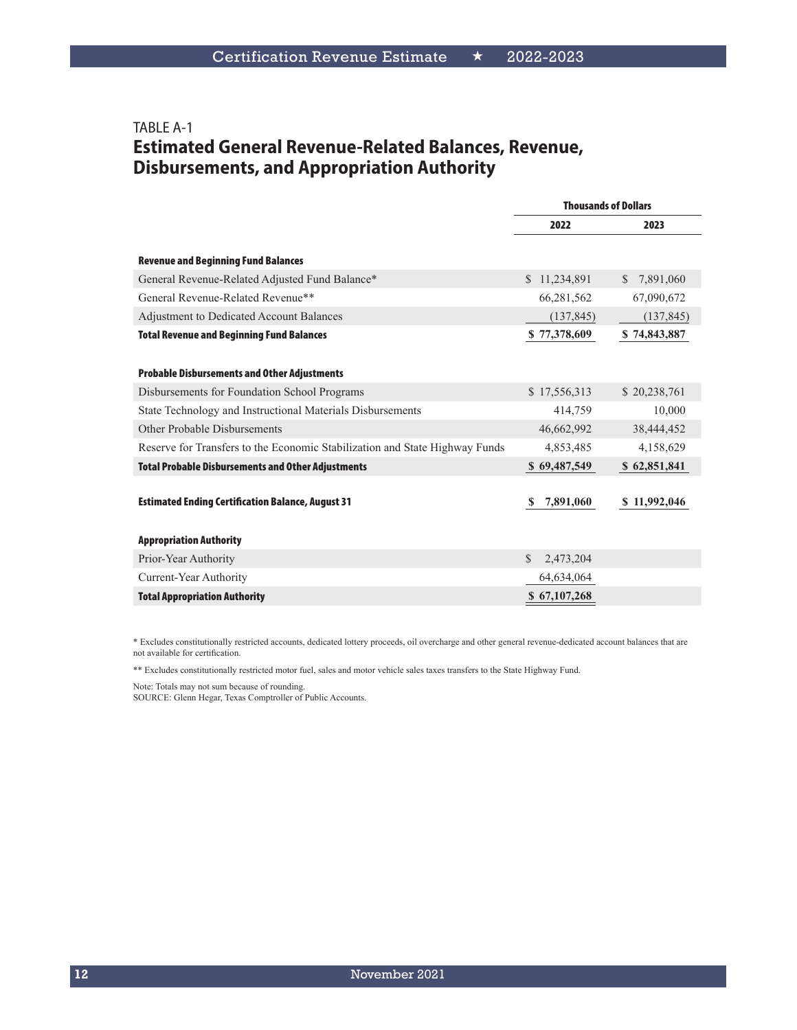### TABLE A-1 **Estimated General Revenue-Related Balances, Revenue, Disbursements, and Appropriation Authority**

|                                                                             | <b>Thousands of Dollars</b> |                           |  |
|-----------------------------------------------------------------------------|-----------------------------|---------------------------|--|
|                                                                             | 2022                        | 2023                      |  |
| <b>Revenue and Beginning Fund Balances</b>                                  |                             |                           |  |
| General Revenue-Related Adjusted Fund Balance*                              | \$11,234,891                | $\mathbb{S}$<br>7,891,060 |  |
| General Revenue-Related Revenue**                                           | 66,281,562                  | 67,090,672                |  |
| Adjustment to Dedicated Account Balances                                    | (137, 845)                  | (137, 845)                |  |
| <b>Total Revenue and Beginning Fund Balances</b>                            | \$77,378,609                | \$74,843,887              |  |
|                                                                             |                             |                           |  |
| <b>Probable Disbursements and Other Adjustments</b>                         |                             |                           |  |
| Disbursements for Foundation School Programs                                | \$17,556,313                | \$20,238,761              |  |
| State Technology and Instructional Materials Disbursements                  | 414,759                     | 10,000                    |  |
| Other Probable Disbursements                                                | 46,662,992                  | 38,444,452                |  |
| Reserve for Transfers to the Economic Stabilization and State Highway Funds | 4,853,485                   | 4,158,629                 |  |
| <b>Total Probable Disbursements and Other Adjustments</b>                   | \$69,487,549                | \$62,851,841              |  |
|                                                                             |                             |                           |  |
| <b>Estimated Ending Certification Balance, August 31</b>                    | 7,891,060<br>S              | \$11,992,046              |  |
|                                                                             |                             |                           |  |
| <b>Appropriation Authority</b>                                              |                             |                           |  |
| Prior-Year Authority                                                        | \$<br>2,473,204             |                           |  |
| Current-Year Authority                                                      | 64,634,064                  |                           |  |
| <b>Total Appropriation Authority</b>                                        | \$67,107,268                |                           |  |
|                                                                             |                             |                           |  |

\* Excludes constitutionally restricted accounts, dedicated lottery proceeds, oil overcharge and other general revenue-dedicated account balances that are not available for certification.

\*\* Excludes constitutionally restricted motor fuel, sales and motor vehicle sales taxes transfers to the State Highway Fund.

Note: Totals may not sum because of rounding.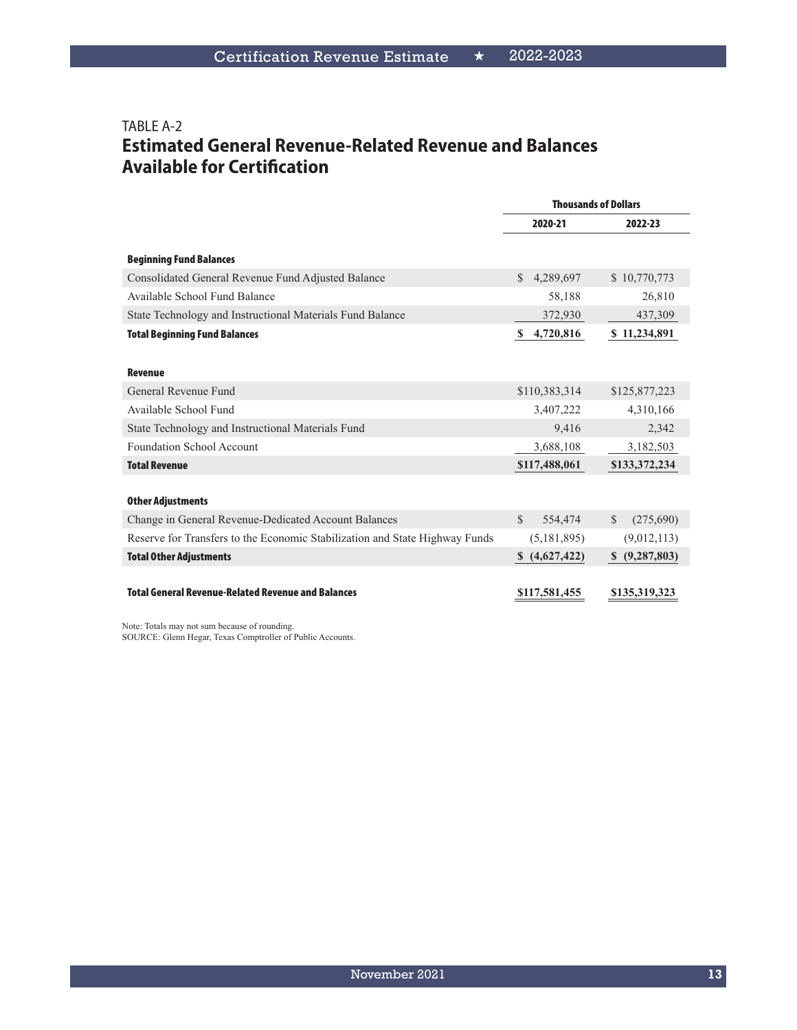### TABLE A-2 **Estimated General Revenue-Related Revenue and Balances Available for Certification**

|                                                                             | <b>Thousands of Dollars</b> |                               |  |
|-----------------------------------------------------------------------------|-----------------------------|-------------------------------|--|
|                                                                             | 2020-21                     | 2022-23                       |  |
| <b>Beginning Fund Balances</b>                                              |                             |                               |  |
| Consolidated General Revenue Fund Adjusted Balance                          | 4,289,697<br>$\mathcal{S}$  | \$10,770,773                  |  |
| Available School Fund Balance                                               | 58,188                      | 26,810                        |  |
| State Technology and Instructional Materials Fund Balance                   | 372,930                     | 437,309                       |  |
| <b>Total Beginning Fund Balances</b>                                        | 4,720,816<br>S              | \$11,234,891                  |  |
|                                                                             |                             |                               |  |
| <b>Revenue</b>                                                              |                             |                               |  |
| General Revenue Fund                                                        | \$110,383,314               | \$125,877,223                 |  |
| Available School Fund                                                       | 3,407,222                   | 4,310,166                     |  |
| State Technology and Instructional Materials Fund                           | 9,416                       | 2,342                         |  |
| <b>Foundation School Account</b>                                            | 3,688,108                   | 3,182,503                     |  |
| <b>Total Revenue</b>                                                        | \$117,488,061               | \$133,372,234                 |  |
|                                                                             |                             |                               |  |
| <b>Other Adjustments</b>                                                    |                             |                               |  |
| Change in General Revenue-Dedicated Account Balances                        | $\mathcal{S}$<br>554,474    | (275,690)<br>\$.              |  |
| Reserve for Transfers to the Economic Stabilization and State Highway Funds | (5, 181, 895)               | (9,012,113)                   |  |
| <b>Total Other Adjustments</b>                                              | (4,627,422)<br><sup>S</sup> | (9, 287, 803)<br><sup>S</sup> |  |
|                                                                             |                             |                               |  |
| <b>Total General Revenue-Related Revenue and Balances</b>                   | \$117,581,455               | \$135,319,323                 |  |

Note: Totals may not sum because of rounding.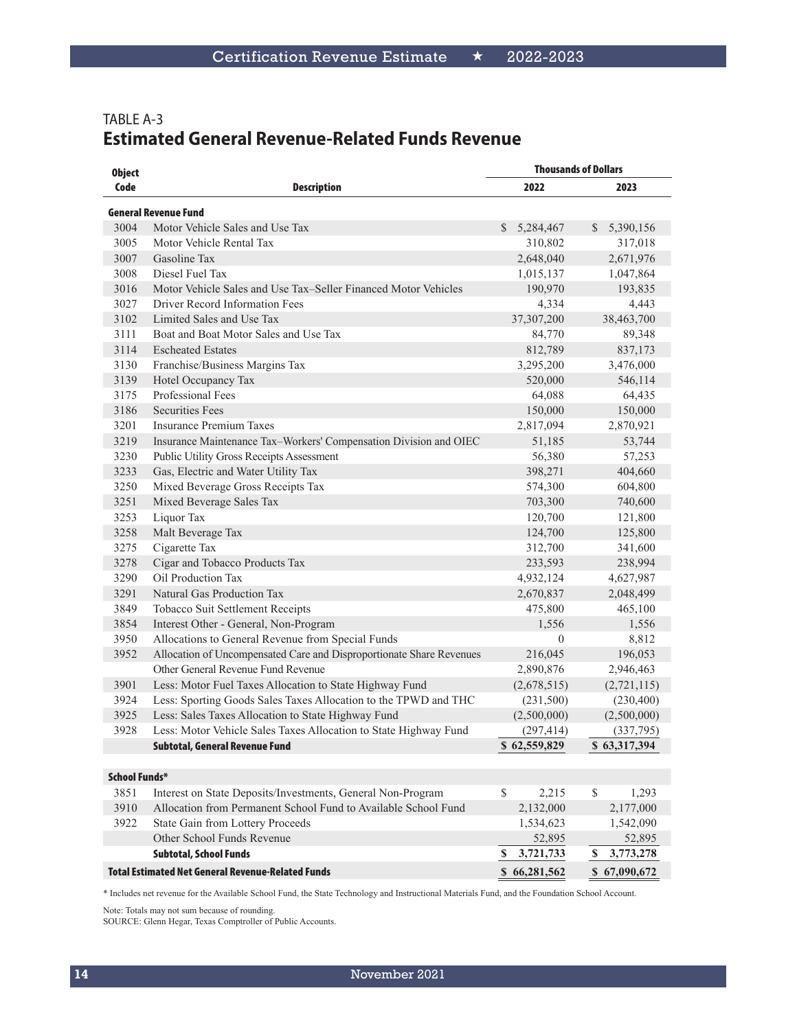#### TABLE A-3 **Estimated General Revenue-Related Funds Revenue**

| <b>Object</b>        |                                                                      | <b>Thousands of Dollars</b> |                       |
|----------------------|----------------------------------------------------------------------|-----------------------------|-----------------------|
| Code                 | <b>Description</b>                                                   | 2022                        | 2023                  |
|                      | <b>General Revenue Fund</b>                                          |                             |                       |
| 3004                 | Motor Vehicle Sales and Use Tax                                      | S<br>5,284,467              | S.<br>5,390,156       |
| 3005                 | Motor Vehicle Rental Tax                                             | 310,802                     | 317,018               |
| 3007                 | Gasoline Tax                                                         | 2,648,040                   | 2,671,976             |
| 3008                 | Diesel Fuel Tax                                                      | 1,015,137                   | 1,047,864             |
| 3016                 | Motor Vehicle Sales and Use Tax-Seller Financed Motor Vehicles       | 190,970                     | 193,835               |
| 3027                 | Driver Record Information Fees                                       | 4,334                       | 4,443                 |
| 3102                 | Limited Sales and Use Tax                                            | 37,307,200                  | 38,463,700            |
| 3111                 | Boat and Boat Motor Sales and Use Tax                                | 84,770                      | 89,348                |
| 3114                 | <b>Escheated Estates</b>                                             | 812,789                     | 837,173               |
| 3130                 | Franchise/Business Margins Tax                                       | 3,295,200                   | 3,476,000             |
| 3139                 | Hotel Occupancy Tax                                                  | 520,000                     | 546,114               |
| 3175                 | Professional Fees                                                    | 64,088                      | 64,435                |
| 3186                 | <b>Securities Fees</b>                                               | 150,000                     | 150,000               |
| 3201                 | <b>Insurance Premium Taxes</b>                                       | 2,817,094                   | 2,870,921             |
| 3219                 | Insurance Maintenance Tax-Workers' Compensation Division and OIEC    | 51,185                      | 53,744                |
| 3230                 | Public Utility Gross Receipts Assessment                             | 56,380                      | 57,253                |
| 3233                 | Gas, Electric and Water Utility Tax                                  | 398,271                     | 404,660               |
| 3250                 | Mixed Beverage Gross Receipts Tax                                    | 574,300                     | 604,800               |
| 3251                 | Mixed Beverage Sales Tax                                             | 703,300                     | 740,600               |
| 3253                 | Liquor Tax                                                           | 120,700                     | 121,800               |
| 3258                 | Malt Beverage Tax                                                    | 124,700                     | 125,800               |
| 3275                 | Cigarette Tax                                                        | 312,700                     | 341,600               |
| 3278                 | Cigar and Tobacco Products Tax                                       | 233,593                     | 238,994               |
| 3290                 | Oil Production Tax                                                   | 4,932,124                   | 4,627,987             |
| 3291                 | Natural Gas Production Tax                                           | 2,670,837                   | 2,048,499             |
| 3849                 | Tobacco Suit Settlement Receipts                                     | 475,800                     | 465,100               |
| 3854                 | Interest Other - General, Non-Program                                | 1,556                       | 1,556                 |
| 3950                 | Allocations to General Revenue from Special Funds                    | $\mathbf{0}$                | 8,812                 |
| 3952                 | Allocation of Uncompensated Care and Disproportionate Share Revenues | 216,045                     | 196,053               |
|                      | Other General Revenue Fund Revenue                                   | 2,890,876                   | 2,946,463             |
| 3901                 | Less: Motor Fuel Taxes Allocation to State Highway Fund              | (2,678,515)                 | (2,721,115)           |
| 3924                 | Less: Sporting Goods Sales Taxes Allocation to the TPWD and THC      | (231,500)                   | (230, 400)            |
| 3925                 | Less: Sales Taxes Allocation to State Highway Fund                   | (2,500,000)                 | (2,500,000)           |
| 3928                 | Less: Motor Vehicle Sales Taxes Allocation to State Highway Fund     | (297, 414)                  | (337,795)             |
|                      | Subtotal, General Revenue Fund                                       | \$62,559,829                | \$63,317,394          |
| <b>School Funds*</b> |                                                                      |                             |                       |
| 3851                 | Interest on State Deposits/Investments, General Non-Program          | \$<br>2,215                 | $\mathbb{S}$<br>1,293 |
| 3910                 | Allocation from Permanent School Fund to Available School Fund       | 2,132,000                   | 2,177,000             |
| 3922                 | State Gain from Lottery Proceeds                                     | 1,534,623                   | 1,542,090             |
|                      | Other School Funds Revenue                                           | 52,895                      | 52,895                |
|                      | <b>Subtotal, School Funds</b>                                        | 3,721,733<br>S.             | 3,773,278<br>S.       |
|                      | <b>Total Estimated Net General Revenue-Related Funds</b>             | \$66,281,562                | \$67,090,672          |

\* Includes net revenue for the Available School Fund, the State Technology and Instructional Materials Fund, and the Foundation School Account.

Note: Totals may not sum because of rounding.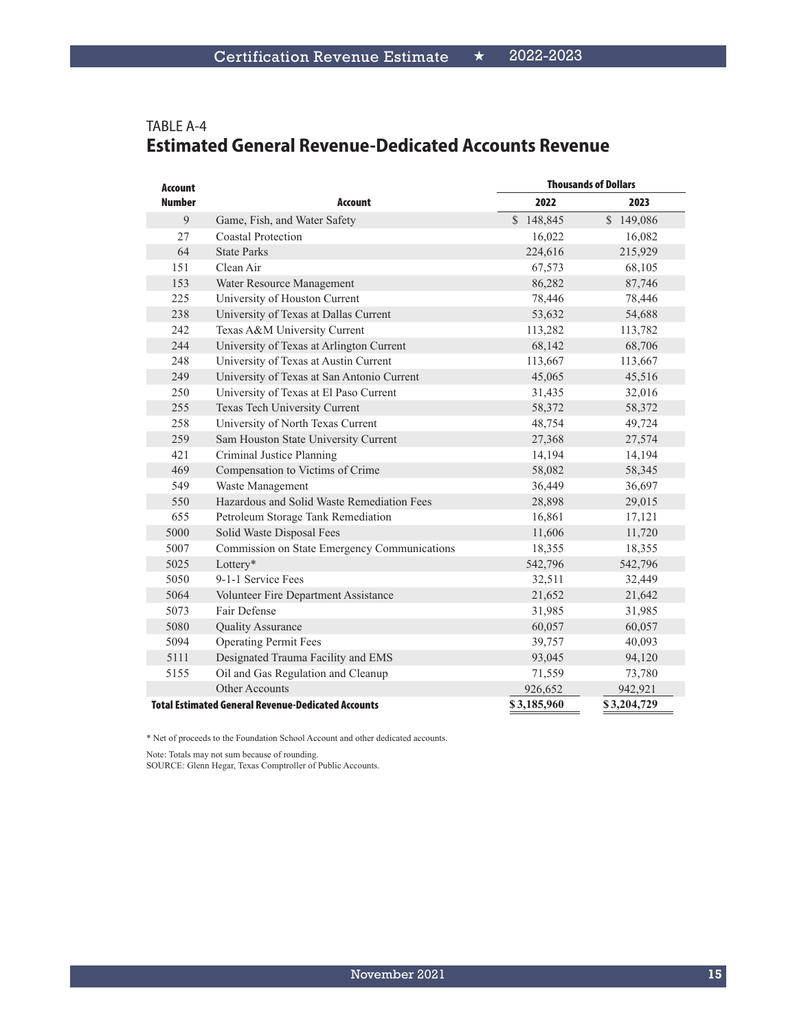| <b>Account</b> |                                                           | <b>Thousands of Dollars</b> |             |
|----------------|-----------------------------------------------------------|-----------------------------|-------------|
| <b>Number</b>  | <b>Account</b>                                            | 2022                        | 2023        |
| 9              | Game, Fish, and Water Safety                              | \$148,845                   | \$149,086   |
| 27             | Coastal Protection                                        | 16,022                      | 16,082      |
| 64             | <b>State Parks</b>                                        | 224,616                     | 215,929     |
| 151            | Clean Air                                                 | 67,573                      | 68,105      |
| 153            | Water Resource Management                                 | 86,282                      | 87,746      |
| 225            | University of Houston Current                             | 78,446                      | 78,446      |
| 238            | University of Texas at Dallas Current                     | 53,632                      | 54,688      |
| 242            | Texas A&M University Current                              | 113,282                     | 113,782     |
| 244            | University of Texas at Arlington Current                  | 68,142                      | 68,706      |
| 248            | University of Texas at Austin Current                     | 113,667                     | 113,667     |
| 249            | University of Texas at San Antonio Current                | 45,065                      | 45,516      |
| 250            | University of Texas at El Paso Current                    | 31,435                      | 32,016      |
| 255            | Texas Tech University Current                             | 58,372                      | 58,372      |
| 258            | University of North Texas Current                         | 48,754                      | 49,724      |
| 259            | Sam Houston State University Current                      | 27,368                      | 27,574      |
| 421            | Criminal Justice Planning                                 | 14,194                      | 14,194      |
| 469            | Compensation to Victims of Crime                          | 58,082                      | 58,345      |
| 549            | Waste Management                                          | 36,449                      | 36,697      |
| 550            | Hazardous and Solid Waste Remediation Fees                | 28,898                      | 29,015      |
| 655            | Petroleum Storage Tank Remediation                        | 16,861                      | 17,121      |
| 5000           | Solid Waste Disposal Fees                                 | 11,606                      | 11,720      |
| 5007           | Commission on State Emergency Communications              | 18,355                      | 18,355      |
| 5025           | Lottery*                                                  | 542,796                     | 542,796     |
| 5050           | 9-1-1 Service Fees                                        | 32,511                      | 32,449      |
| 5064           | Volunteer Fire Department Assistance                      | 21,652                      | 21,642      |
| 5073           | Fair Defense                                              | 31,985                      | 31,985      |
| 5080           | <b>Quality Assurance</b>                                  | 60,057                      | 60,057      |
| 5094           | <b>Operating Permit Fees</b>                              | 39,757                      | 40,093      |
| 5111           | Designated Trauma Facility and EMS                        | 93,045                      | 94,120      |
| 5155           | Oil and Gas Regulation and Cleanup                        | 71,559                      | 73,780      |
|                | Other Accounts                                            | 926,652                     | 942,921     |
|                | <b>Total Estimated General Revenue-Dedicated Accounts</b> | \$3,185,960                 | \$3,204,729 |

#### TABLE A-4 **Estimated General Revenue-Dedicated Accounts Revenue**

\* Net of proceeds to the Foundation School Account and other dedicated accounts.

Note: Totals may not sum because of rounding.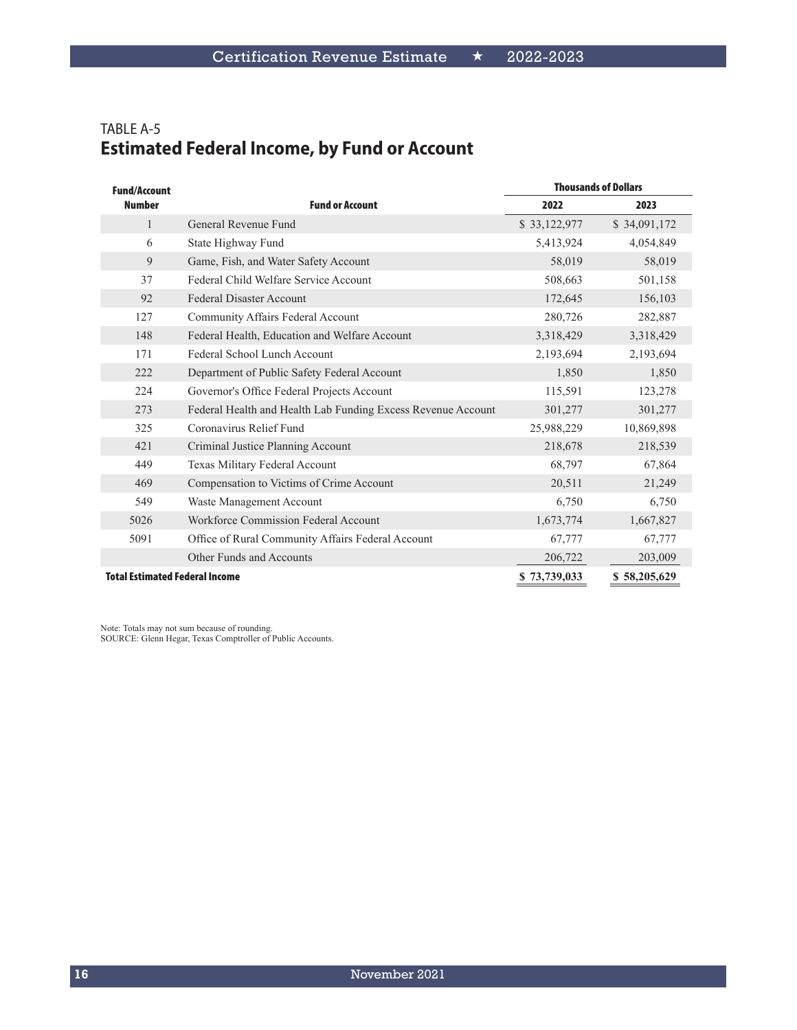# TABLE A-5 **Estimated Federal Income, by Fund or Account**

| <b>Fund/Account</b>                   |                                                              |              | <b>Thousands of Dollars</b> |
|---------------------------------------|--------------------------------------------------------------|--------------|-----------------------------|
| <b>Number</b>                         | <b>Fund or Account</b>                                       | 2022         | 2023                        |
| $\mathbf{1}$                          | General Revenue Fund                                         | \$33,122,977 | \$34,091,172                |
| 6                                     | State Highway Fund                                           | 5,413,924    | 4,054,849                   |
| 9                                     | Game, Fish, and Water Safety Account                         | 58,019       | 58,019                      |
| 37                                    | Federal Child Welfare Service Account                        | 508,663      | 501,158                     |
| 92                                    | <b>Federal Disaster Account</b>                              | 172,645      | 156,103                     |
| 127                                   | Community Affairs Federal Account                            | 280,726      | 282,887                     |
| 148                                   | Federal Health, Education and Welfare Account                | 3,318,429    | 3,318,429                   |
| 171                                   | Federal School Lunch Account                                 | 2,193,694    | 2,193,694                   |
| 222                                   | Department of Public Safety Federal Account                  | 1,850        | 1,850                       |
| 224                                   | Governor's Office Federal Projects Account                   | 115,591      | 123,278                     |
| 273                                   | Federal Health and Health Lab Funding Excess Revenue Account | 301,277      | 301,277                     |
| 325                                   | Coronavirus Relief Fund                                      | 25,988,229   | 10,869,898                  |
| 421                                   | Criminal Justice Planning Account                            | 218,678      | 218,539                     |
| 449                                   | Texas Military Federal Account                               | 68,797       | 67,864                      |
| 469                                   | Compensation to Victims of Crime Account                     | 20,511       | 21,249                      |
| 549                                   | Waste Management Account                                     | 6,750        | 6,750                       |
| 5026                                  | <b>Workforce Commission Federal Account</b>                  | 1,673,774    | 1,667,827                   |
| 5091                                  | Office of Rural Community Affairs Federal Account            | 67,777       | 67,777                      |
|                                       | Other Funds and Accounts                                     | 206,722      | 203,009                     |
| <b>Total Estimated Federal Income</b> |                                                              | \$73,739,033 | \$58,205,629                |

Note: Totals may not sum because of rounding.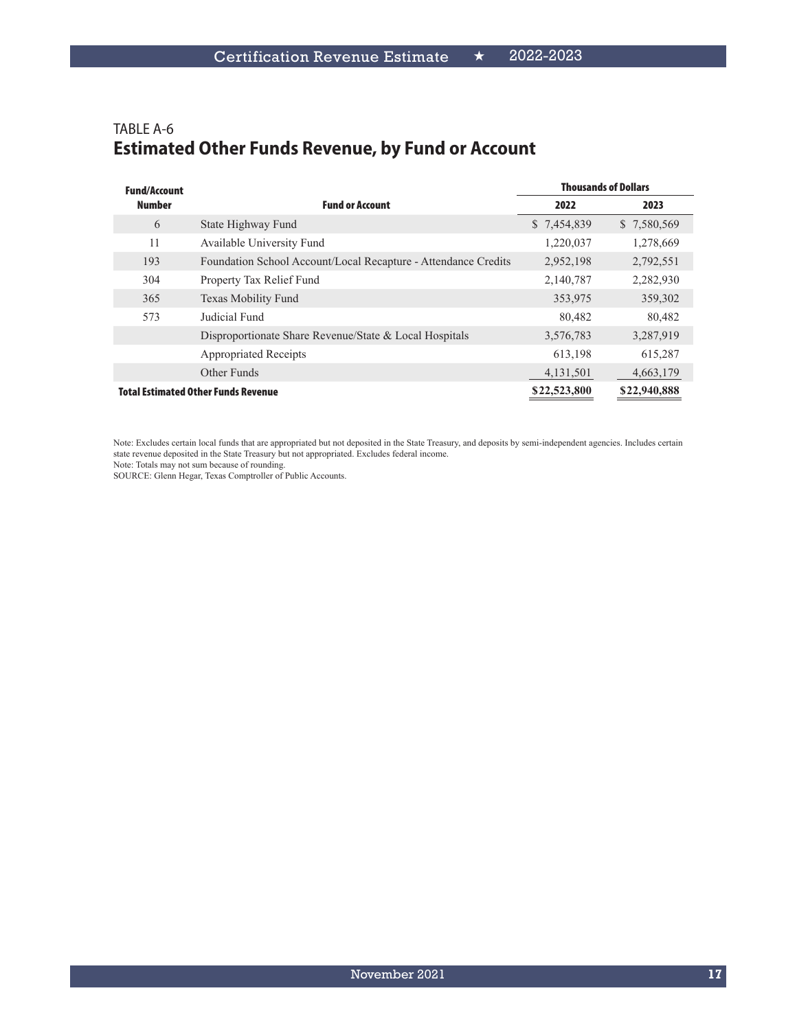#### TABLE A-6 **Estimated Other Funds Revenue, by Fund or Account**

| <b>Fund/Account</b> |                                                                |              | <b>Thousands of Dollars</b> |
|---------------------|----------------------------------------------------------------|--------------|-----------------------------|
| <b>Number</b>       | <b>Fund or Account</b>                                         | 2022         | 2023                        |
| 6                   | State Highway Fund                                             | \$7,454,839  | \$7,580,569                 |
| 11                  | Available University Fund                                      | 1,220,037    | 1,278,669                   |
| 193                 | Foundation School Account/Local Recapture - Attendance Credits | 2,952,198    | 2,792,551                   |
| 304                 | Property Tax Relief Fund                                       | 2,140,787    | 2,282,930                   |
| 365                 | Texas Mobility Fund                                            | 353,975      | 359,302                     |
| 573                 | Judicial Fund                                                  | 80,482       | 80,482                      |
|                     | Disproportionate Share Revenue/State & Local Hospitals         | 3,576,783    | 3,287,919                   |
|                     | <b>Appropriated Receipts</b>                                   | 613,198      | 615,287                     |
|                     | Other Funds                                                    | 4,131,501    | 4,663,179                   |
|                     | <b>Total Estimated Other Funds Revenue</b>                     | \$22,523,800 | \$22,940,888                |

Note: Excludes certain local funds that are appropriated but not deposited in the State Treasury, and deposits by semi-independent agencies. Includes certain state revenue deposited in the State Treasury but not appropriated. Excludes federal income.

Note: Totals may not sum because of rounding.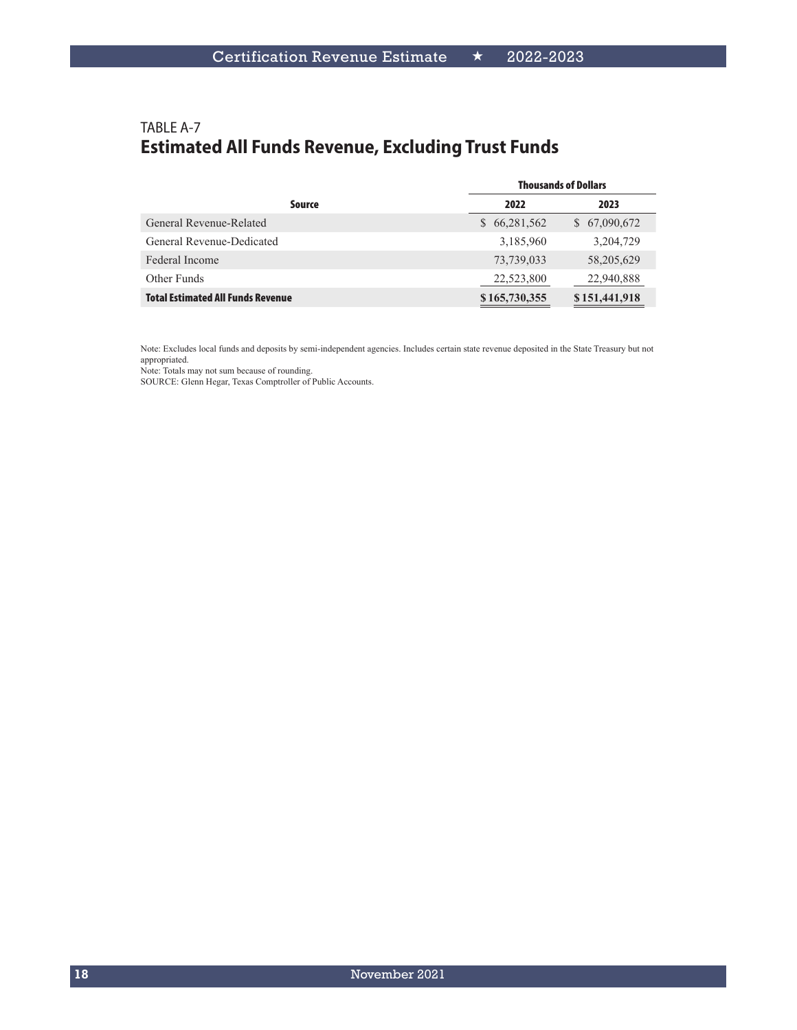## TABLE A-7 **Estimated All Funds Revenue, Excluding Trust Funds**

|                                          | <b>Thousands of Dollars</b> |               |  |
|------------------------------------------|-----------------------------|---------------|--|
| Source                                   | 2022                        | 2023          |  |
| General Revenue-Related                  | \$66,281,562                | \$ 67,090,672 |  |
| General Revenue-Dedicated                | 3,185,960                   | 3,204,729     |  |
| Federal Income                           | 73,739,033                  | 58,205,629    |  |
| Other Funds                              | 22,523,800                  | 22,940,888    |  |
| <b>Total Estimated All Funds Revenue</b> | \$165,730,355               | \$151,441,918 |  |

Note: Excludes local funds and deposits by semi-independent agencies. Includes certain state revenue deposited in the State Treasury but not appropriated.

Note: Totals may not sum because of rounding.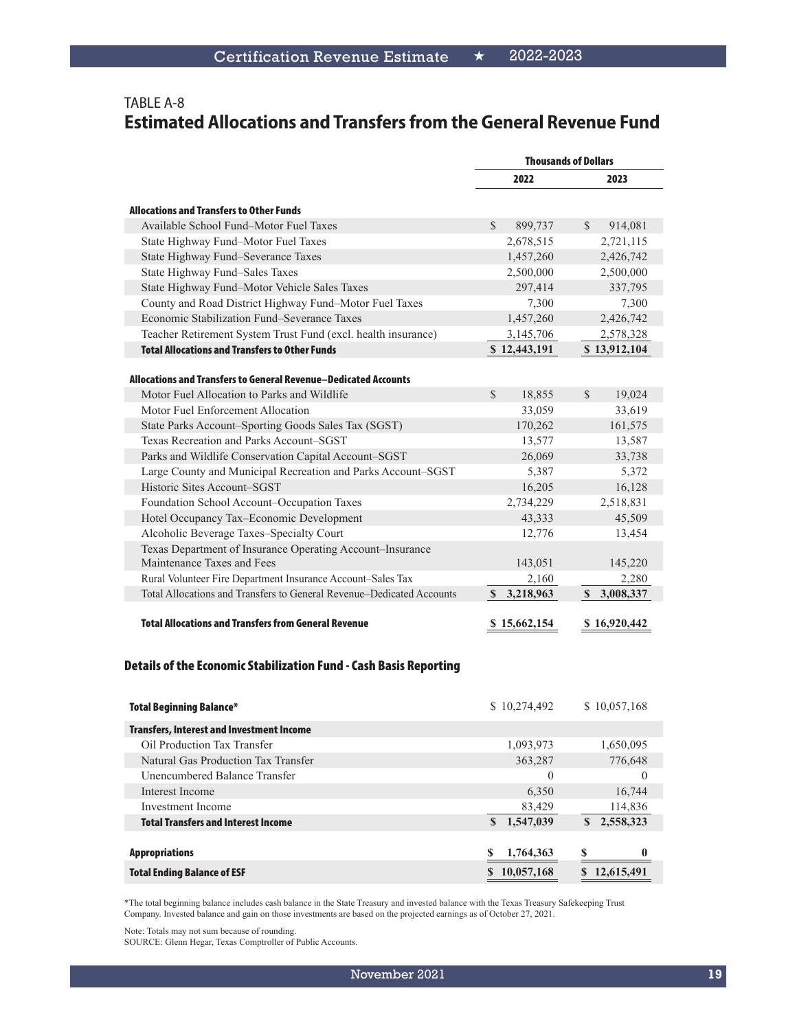#### TABLE A-8 **Estimated Allocations and Transfers from the General Revenue Fund**

|                                                                       | <b>Thousands of Dollars</b> |                          |  |
|-----------------------------------------------------------------------|-----------------------------|--------------------------|--|
|                                                                       | 2022                        | 2023                     |  |
| <b>Allocations and Transfers to Other Funds</b>                       |                             |                          |  |
| Available School Fund-Motor Fuel Taxes                                | $\mathcal{S}$<br>899,737    | 914,081<br>$\mathcal{S}$ |  |
| State Highway Fund-Motor Fuel Taxes                                   | 2,678,515                   | 2,721,115                |  |
| State Highway Fund-Severance Taxes                                    | 1,457,260                   | 2,426,742                |  |
| State Highway Fund-Sales Taxes                                        | 2,500,000                   | 2,500,000                |  |
| State Highway Fund-Motor Vehicle Sales Taxes                          | 297,414                     | 337,795                  |  |
| County and Road District Highway Fund-Motor Fuel Taxes                | 7,300                       | 7,300                    |  |
| Economic Stabilization Fund–Severance Taxes                           | 1,457,260                   | 2,426,742                |  |
| Teacher Retirement System Trust Fund (excl. health insurance)         | 3,145,706                   | 2,578,328                |  |
| <b>Total Allocations and Transfers to Other Funds</b>                 | \$12,443,191                | \$13,912,104             |  |
| Allocations and Transfers to General Revenue-Dedicated Accounts       |                             |                          |  |
| Motor Fuel Allocation to Parks and Wildlife                           | $\mathcal{S}$<br>18,855     | $\mathcal{S}$<br>19,024  |  |
| Motor Fuel Enforcement Allocation                                     | 33,059                      | 33,619                   |  |
| State Parks Account–Sporting Goods Sales Tax (SGST)                   | 170,262                     | 161,575                  |  |
| Texas Recreation and Parks Account–SGST                               | 13,577                      | 13,587                   |  |
| Parks and Wildlife Conservation Capital Account-SGST                  | 26,069                      | 33,738                   |  |
| Large County and Municipal Recreation and Parks Account-SGST          | 5,387                       | 5,372                    |  |
| Historic Sites Account-SGST                                           | 16,205                      | 16,128                   |  |
| Foundation School Account-Occupation Taxes                            | 2,734,229                   | 2,518,831                |  |
| Hotel Occupancy Tax-Economic Development                              | 43,333                      | 45,509                   |  |
| Alcoholic Beverage Taxes-Specialty Court                              | 12,776                      | 13,454                   |  |
| Texas Department of Insurance Operating Account-Insurance             |                             |                          |  |
| Maintenance Taxes and Fees                                            | 143,051                     | 145,220                  |  |
| Rural Volunteer Fire Department Insurance Account-Sales Tax           | 2,160                       | 2,280                    |  |
| Total Allocations and Transfers to General Revenue–Dedicated Accounts | 3,218,963<br>$\mathbf S$    | \$3,008,337              |  |
| <b>Total Allocations and Transfers from General Revenue</b>           | \$15,662,154                | \$16,920,442             |  |

#### Details of the Economic Stabilization Fund - Cash Basis Reporting

| <b>Total Beginning Balance*</b>                  | \$10,274,492   | \$10,057,168    |
|--------------------------------------------------|----------------|-----------------|
| <b>Transfers, Interest and Investment Income</b> |                |                 |
| Oil Production Tax Transfer                      | 1,093,973      | 1,650,095       |
| Natural Gas Production Tax Transfer              | 363,287        | 776,648         |
| Unencumbered Balance Transfer                    | $\theta$       | $\theta$        |
| Interest Income                                  | 6,350          | 16,744          |
| Investment Income                                | 83,429         | 114,836         |
| <b>Total Transfers and Interest Income</b>       | 1,547,039<br>S | 2,558,323<br>S. |
|                                                  |                |                 |
| <b>Appropriations</b>                            | 1,764,363      |                 |
| <b>Total Ending Balance of ESF</b>               | 10,057,168     | 12,615,491      |

\*The total beginning balance includes cash balance in the State Treasury and invested balance with the Texas Treasury Safekeeping Trust Company. Invested balance and gain on those investments are based on the projected earnings as of October 27, 2021.

Note: Totals may not sum because of rounding.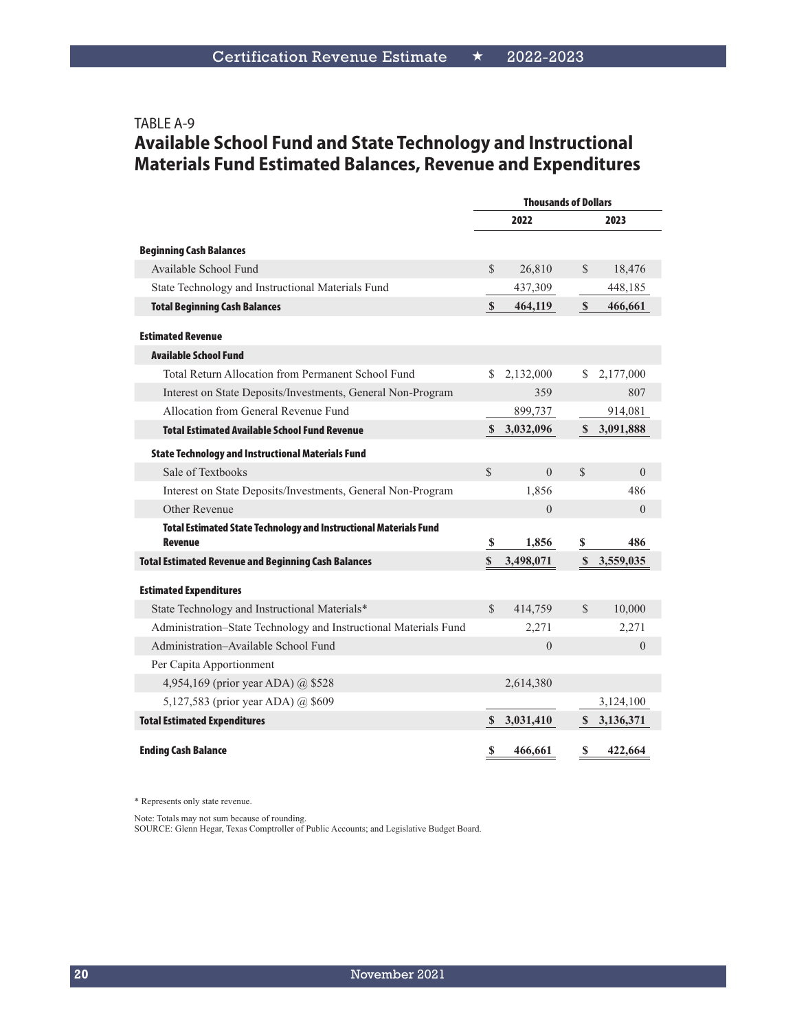# TABLE A-9 **Available School Fund and State Technology and Instructional Materials Fund Estimated Balances, Revenue and Expenditures**

|                                                                                     | <b>Thousands of Dollars</b> |              |               |           |
|-------------------------------------------------------------------------------------|-----------------------------|--------------|---------------|-----------|
|                                                                                     |                             | 2022         |               | 2023      |
| <b>Beginning Cash Balances</b>                                                      |                             |              |               |           |
| Available School Fund                                                               | $\mathcal{S}$               | 26,810       | \$            | 18,476    |
| State Technology and Instructional Materials Fund                                   |                             | 437,309      |               | 448,185   |
| <b>Total Beginning Cash Balances</b>                                                | $\mathbf{\$}$               | 464,119      | $\mathbf{s}$  | 466,661   |
| <b>Estimated Revenue</b>                                                            |                             |              |               |           |
| <b>Available School Fund</b>                                                        |                             |              |               |           |
| Total Return Allocation from Permanent School Fund                                  | S.                          | 2,132,000    | S.            | 2,177,000 |
| Interest on State Deposits/Investments, General Non-Program                         |                             | 359          |               | 807       |
| Allocation from General Revenue Fund                                                |                             | 899,737      |               | 914,081   |
| <b>Total Estimated Available School Fund Revenue</b>                                | $\mathbf{s}$                | 3,032,096    | <sup>\$</sup> | 3,091,888 |
| <b>State Technology and Instructional Materials Fund</b>                            |                             |              |               |           |
| Sale of Textbooks                                                                   | $\mathcal{S}$               | $\theta$     | $\mathcal{S}$ | $\theta$  |
| Interest on State Deposits/Investments, General Non-Program                         |                             | 1,856        |               | 486       |
| Other Revenue                                                                       |                             | $\Omega$     |               | $\theta$  |
| Total Estimated State Technology and Instructional Materials Fund<br><b>Revenue</b> | $\mathbf S$                 | 1,856        | \$            | 486       |
| <b>Total Estimated Revenue and Beginning Cash Balances</b>                          | \$                          | 3,498,071    | $\mathbf S$   | 3,559,035 |
| <b>Estimated Expenditures</b>                                                       |                             |              |               |           |
| State Technology and Instructional Materials*                                       | $\mathcal{S}$               | 414,759      | $\mathbb{S}$  | 10,000    |
| Administration-State Technology and Instructional Materials Fund                    |                             | 2,271        |               | 2,271     |
| Administration-Available School Fund                                                |                             | $\mathbf{0}$ |               | $\theta$  |
| Per Capita Apportionment                                                            |                             |              |               |           |
| 4,954,169 (prior year ADA) @ \$528                                                  |                             | 2,614,380    |               |           |
| 5,127,583 (prior year ADA) @ \$609                                                  |                             |              |               | 3,124,100 |
| <b>Total Estimated Expenditures</b>                                                 | <sup>S</sup>                | 3,031,410    | <sup>S</sup>  | 3,136,371 |
| <b>Ending Cash Balance</b>                                                          | <b>S</b>                    | 466,661      | S             | 422,664   |

\* Represents only state revenue.

Note: Totals may not sum because of rounding.

SOURCE: Glenn Hegar, Texas Comptroller of Public Accounts; and Legislative Budget Board.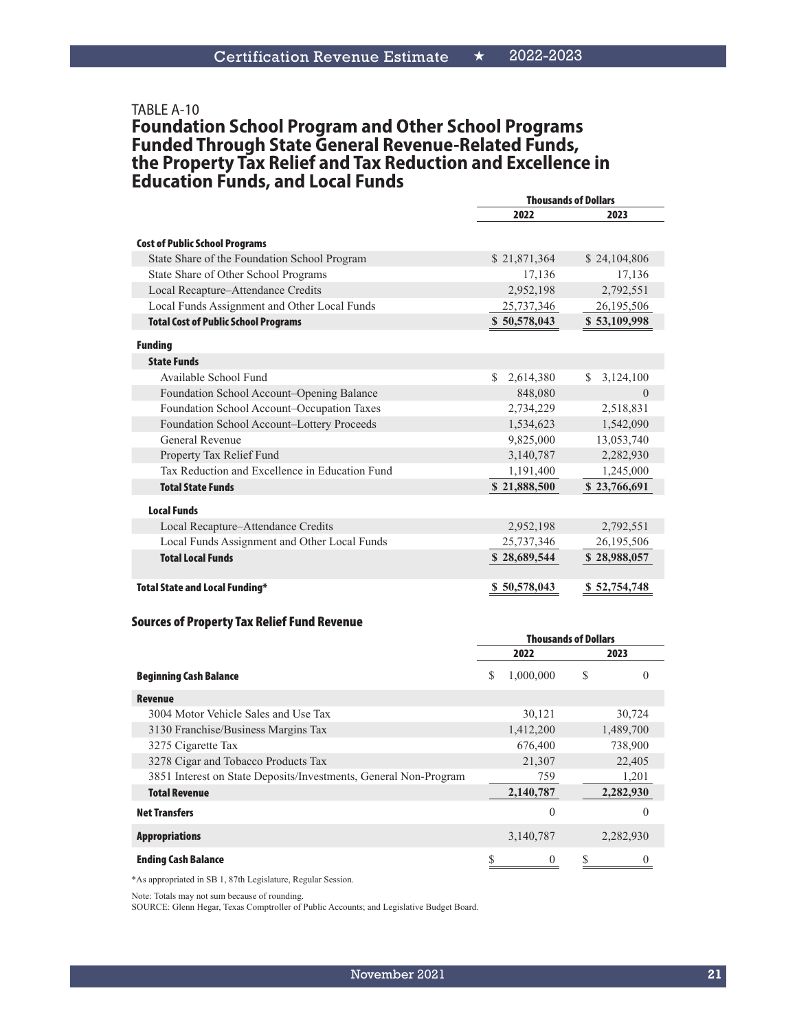#### TABLE A-10

#### **Foundation School Program and Other School Programs Funded Through State General Revenue-Related Funds, the Property Tax Relief and Tax Reduction and Excellence in Education Funds, and Local Funds**

|                                                | <b>Thousands of Dollars</b> |                 |  |
|------------------------------------------------|-----------------------------|-----------------|--|
|                                                | 2022                        | 2023            |  |
| <b>Cost of Public School Programs</b>          |                             |                 |  |
| State Share of the Foundation School Program   | \$21,871,364                | \$24,104,806    |  |
| State Share of Other School Programs           | 17,136                      | 17,136          |  |
| Local Recapture-Attendance Credits             | 2,952,198                   | 2,792,551       |  |
| Local Funds Assignment and Other Local Funds   | 25,737,346                  | 26,195,506      |  |
| <b>Total Cost of Public School Programs</b>    | \$50,578,043                | \$53,109,998    |  |
| <b>Funding</b>                                 |                             |                 |  |
| <b>State Funds</b>                             |                             |                 |  |
| Available School Fund                          | S.<br>2,614,380             | 3,124,100<br>S. |  |
| Foundation School Account-Opening Balance      | 848,080                     | $\Omega$        |  |
| Foundation School Account-Occupation Taxes     | 2,734,229                   | 2,518,831       |  |
| Foundation School Account-Lottery Proceeds     | 1,534,623                   | 1,542,090       |  |
| <b>General Revenue</b>                         | 9,825,000                   | 13,053,740      |  |
| Property Tax Relief Fund                       | 3,140,787                   | 2,282,930       |  |
| Tax Reduction and Excellence in Education Fund | 1,191,400                   | 1,245,000       |  |
| <b>Total State Funds</b>                       | \$21,888,500                | \$23,766,691    |  |
| <b>Local Funds</b>                             |                             |                 |  |
| Local Recapture–Attendance Credits             | 2,952,198                   | 2,792,551       |  |
| Local Funds Assignment and Other Local Funds   | 25,737,346                  | 26,195,506      |  |
| <b>Total Local Funds</b>                       | \$28,689,544                | \$28,988,057    |  |
| <b>Total State and Local Funding*</b>          | \$50,578,043                | \$52,754,748    |  |

#### Sources of Property Tax Relief Fund Revenue

|                                                                  | <b>Thousands of Dollars</b> |           |   |           |
|------------------------------------------------------------------|-----------------------------|-----------|---|-----------|
|                                                                  |                             | 2022      |   | 2023      |
| <b>Beginning Cash Balance</b>                                    | S                           | 1,000,000 | S | $\theta$  |
| Revenue                                                          |                             |           |   |           |
| 3004 Motor Vehicle Sales and Use Tax                             |                             | 30,121    |   | 30,724    |
| 3130 Franchise/Business Margins Tax                              |                             | 1,412,200 |   | 1,489,700 |
| 3275 Cigarette Tax                                               |                             | 676,400   |   | 738,900   |
| 3278 Cigar and Tobacco Products Tax                              |                             | 21,307    |   | 22,405    |
| 3851 Interest on State Deposits/Investments, General Non-Program |                             | 759       |   | 1,201     |
| <b>Total Revenue</b>                                             |                             | 2,140,787 |   | 2,282,930 |
| <b>Net Transfers</b>                                             |                             | $\theta$  |   | $\theta$  |
| <b>Appropriations</b>                                            |                             | 3,140,787 |   | 2,282,930 |
| <b>Ending Cash Balance</b>                                       | S                           | 0         |   |           |

\*As appropriated in SB 1, 87th Legislature, Regular Session.

Note: Totals may not sum because of rounding.

SOURCE: Glenn Hegar, Texas Comptroller of Public Accounts; and Legislative Budget Board.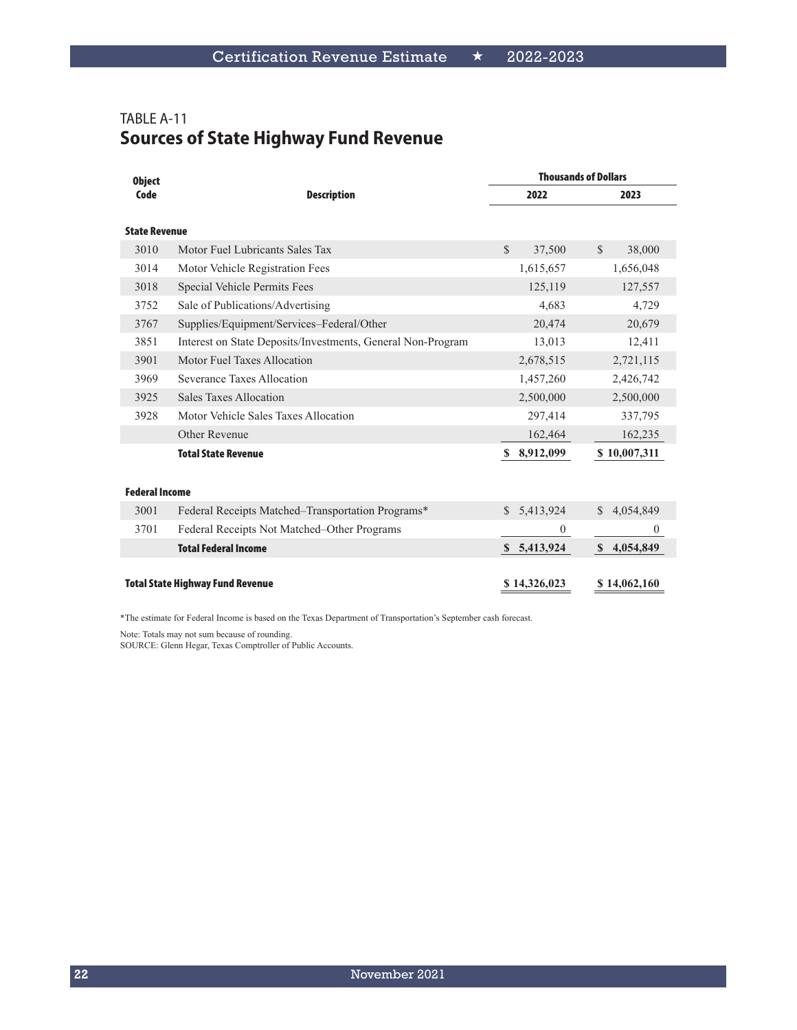# TABLE A-11 **Sources of State Highway Fund Revenue**

| <b>Object</b>         |                                                             |                         | <b>Thousands of Dollars</b> |
|-----------------------|-------------------------------------------------------------|-------------------------|-----------------------------|
| Code                  | <b>Description</b>                                          | 2022                    | 2023                        |
|                       |                                                             |                         |                             |
| <b>State Revenue</b>  |                                                             |                         |                             |
| 3010                  | Motor Fuel Lubricants Sales Tax                             | $\mathcal{S}$<br>37,500 | $\mathcal{S}$<br>38,000     |
| 3014                  | Motor Vehicle Registration Fees                             | 1,615,657               | 1,656,048                   |
| 3018                  | Special Vehicle Permits Fees                                | 125,119                 | 127,557                     |
| 3752                  | Sale of Publications/Advertising                            | 4,683                   | 4,729                       |
| 3767                  | Supplies/Equipment/Services-Federal/Other                   | 20,474                  | 20,679                      |
| 3851                  | Interest on State Deposits/Investments, General Non-Program | 13,013                  | 12,411                      |
| 3901                  | Motor Fuel Taxes Allocation                                 | 2,678,515               | 2,721,115                   |
| 3969                  | Severance Taxes Allocation                                  | 1,457,260               | 2,426,742                   |
| 3925                  | <b>Sales Taxes Allocation</b>                               | 2,500,000               | 2,500,000                   |
| 3928                  | Motor Vehicle Sales Taxes Allocation                        | 297,414                 | 337,795                     |
|                       | Other Revenue                                               | 162,464                 | 162,235                     |
|                       | <b>Total State Revenue</b>                                  | 8,912,099<br><b>S</b>   | \$10,007,311                |
|                       |                                                             |                         |                             |
| <b>Federal Income</b> |                                                             |                         |                             |
| 3001                  | Federal Receipts Matched–Transportation Programs*           | 5,413,924<br>S.         | 4,054,849                   |
| 3701                  | Federal Receipts Not Matched–Other Programs                 | $\overline{0}$          | $\mathbf{0}$                |
|                       | <b>Total Federal Income</b>                                 | \$ 5,413,924            | S<br>4,054,849              |
|                       |                                                             |                         |                             |
|                       | <b>Total State Highway Fund Revenue</b>                     | \$14,326,023            | \$14,062,160                |

\*The estimate for Federal Income is based on the Texas Department of Transportation's September cash forecast.

Note: Totals may not sum because of rounding.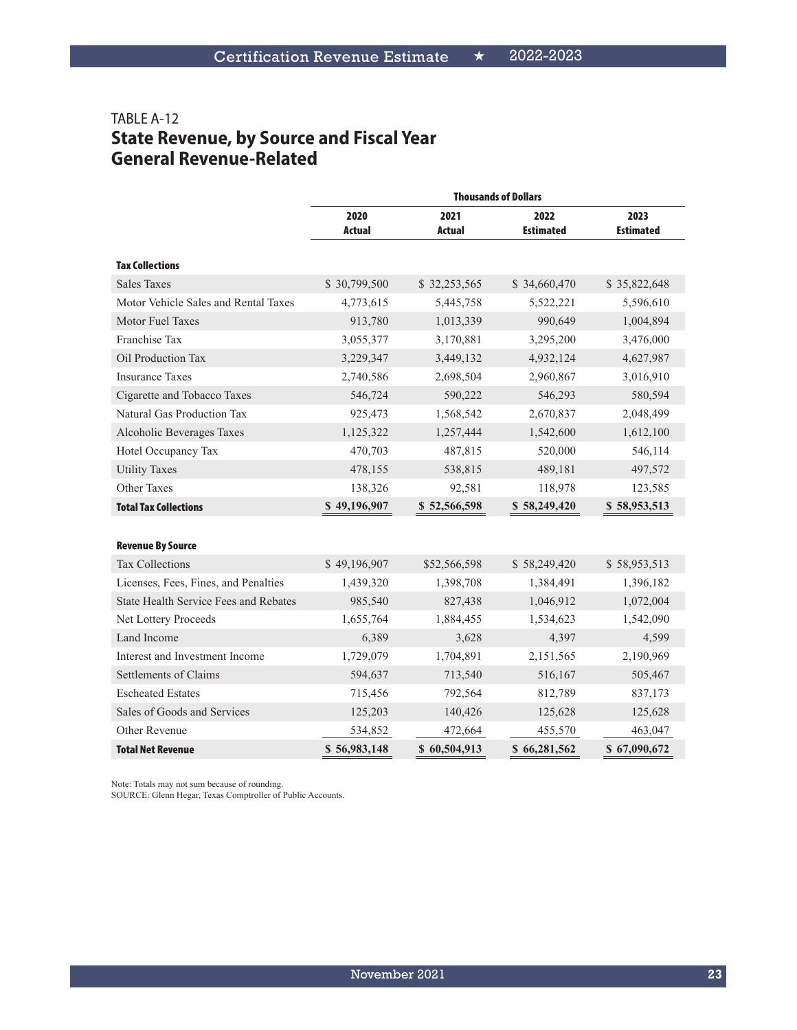## TABLE A-12 **State Revenue, by Source and Fiscal Year General Revenue-Related**

|                                              |                       |                       | <b>Thousands of Dollars</b> |                          |
|----------------------------------------------|-----------------------|-----------------------|-----------------------------|--------------------------|
|                                              | 2020<br><b>Actual</b> | 2021<br><b>Actual</b> | 2022<br><b>Estimated</b>    | 2023<br><b>Estimated</b> |
| <b>Tax Collections</b>                       |                       |                       |                             |                          |
| <b>Sales Taxes</b>                           | \$30,799,500          | \$32,253,565          | \$34,660,470                | \$35,822,648             |
| Motor Vehicle Sales and Rental Taxes         | 4,773,615             | 5,445,758             | 5,522,221                   | 5,596,610                |
| Motor Fuel Taxes                             | 913,780               | 1,013,339             | 990,649                     | 1,004,894                |
| Franchise Tax                                | 3,055,377             | 3,170,881             | 3,295,200                   | 3,476,000                |
| Oil Production Tax                           | 3,229,347             | 3,449,132             | 4,932,124                   | 4,627,987                |
| <b>Insurance Taxes</b>                       | 2,740,586             | 2,698,504             | 2,960,867                   | 3,016,910                |
| Cigarette and Tobacco Taxes                  | 546,724               | 590,222               | 546,293                     | 580,594                  |
| Natural Gas Production Tax                   | 925,473               | 1,568,542             | 2,670,837                   | 2,048,499                |
| Alcoholic Beverages Taxes                    | 1,125,322             | 1,257,444             | 1,542,600                   | 1,612,100                |
| Hotel Occupancy Tax                          | 470,703               | 487,815               | 520,000                     | 546,114                  |
| <b>Utility Taxes</b>                         | 478,155               | 538,815               | 489,181                     | 497,572                  |
| <b>Other Taxes</b>                           | 138,326               | 92,581                | 118,978                     | 123,585                  |
| <b>Total Tax Collections</b>                 | \$49,196,907          | \$52,566,598          | \$58,249,420                | \$58,953,513             |
|                                              |                       |                       |                             |                          |
| <b>Revenue By Source</b>                     |                       |                       |                             |                          |
| <b>Tax Collections</b>                       | \$49,196,907          | \$52,566,598          | \$58,249,420                | \$58,953,513             |
| Licenses, Fees, Fines, and Penalties         | 1,439,320             | 1,398,708             | 1,384,491                   | 1,396,182                |
| <b>State Health Service Fees and Rebates</b> | 985,540               | 827,438               | 1,046,912                   | 1,072,004                |
| Net Lottery Proceeds                         | 1,655,764             | 1,884,455             | 1,534,623                   | 1,542,090                |
| Land Income                                  | 6,389                 | 3,628                 | 4,397                       | 4,599                    |
| Interest and Investment Income               | 1,729,079             | 1,704,891             | 2,151,565                   | 2,190,969                |
| Settlements of Claims                        | 594,637               | 713,540               | 516,167                     | 505,467                  |
| <b>Escheated Estates</b>                     | 715,456               | 792,564               | 812,789                     | 837,173                  |
| Sales of Goods and Services                  | 125,203               | 140,426               | 125,628                     | 125,628                  |
| Other Revenue                                | 534,852               | 472,664               | 455,570                     | 463,047                  |
| <b>Total Net Revenue</b>                     | \$56,983,148          | \$60,504,913          | \$66,281,562                | \$67,090,672             |

Note: Totals may not sum because of rounding.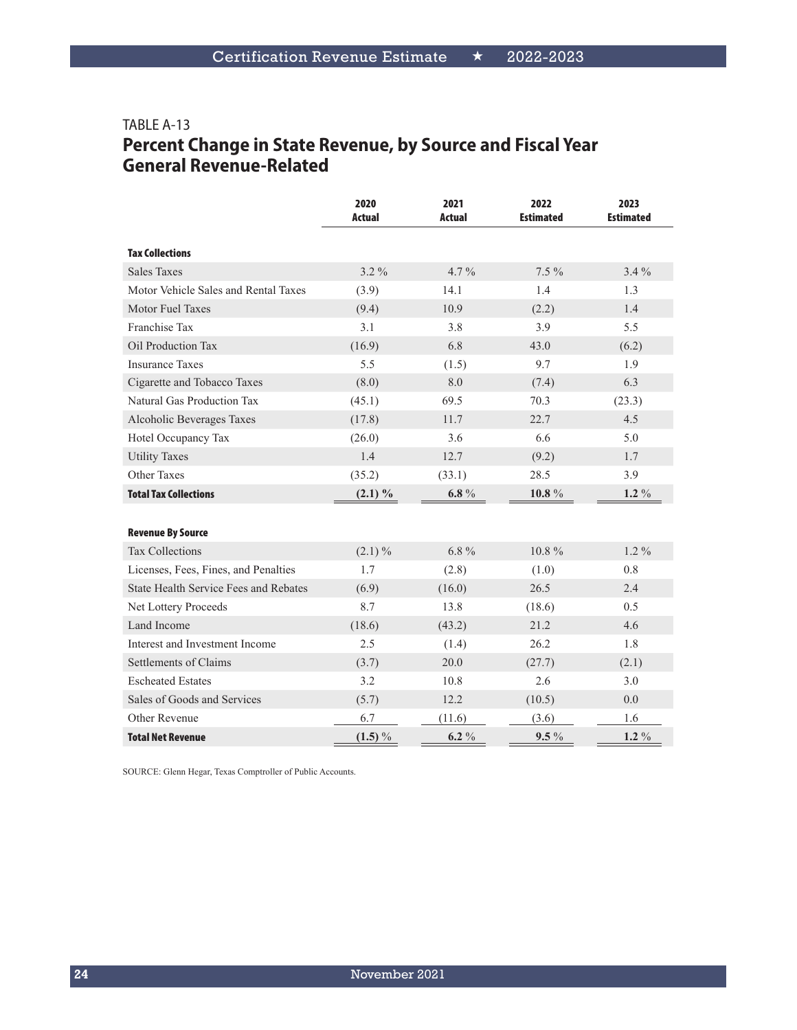#### TABLE A-13 **Percent Change in State Revenue, by Source and Fiscal Year General Revenue-Related**

|                                              | 2020<br>Actual | 2021<br><b>Actual</b> | 2022<br><b>Estimated</b> | 2023<br><b>Estimated</b> |
|----------------------------------------------|----------------|-----------------------|--------------------------|--------------------------|
| <b>Tax Collections</b>                       |                |                       |                          |                          |
| <b>Sales Taxes</b>                           | $3.2\%$        | $4.7\%$               | $7.5\%$                  | $3.4\%$                  |
| Motor Vehicle Sales and Rental Taxes         | (3.9)          | 14.1                  | 1.4                      | 1.3                      |
| <b>Motor Fuel Taxes</b>                      | (9.4)          | 10.9                  | (2.2)                    | 1.4                      |
| Franchise Tax                                | 3.1            | 3.8                   | 3.9                      | 5.5                      |
| Oil Production Tax                           | (16.9)         | 6.8                   | 43.0                     | (6.2)                    |
| <b>Insurance Taxes</b>                       | 5.5            | (1.5)                 | 9.7                      | 1.9                      |
| Cigarette and Tobacco Taxes                  | (8.0)          | 8.0                   | (7.4)                    | 6.3                      |
| Natural Gas Production Tax                   | (45.1)         | 69.5                  | 70.3                     | (23.3)                   |
| Alcoholic Beverages Taxes                    | (17.8)         | 11.7                  | 22.7                     | 4.5                      |
| Hotel Occupancy Tax                          | (26.0)         | 3.6                   | 6.6                      | 5.0                      |
| <b>Utility Taxes</b>                         | 1.4            | 12.7                  | (9.2)                    | 1.7                      |
| Other Taxes                                  | (35.2)         | (33.1)                | 28.5                     | 3.9                      |
| <b>Total Tax Collections</b>                 | $(2.1) \%$     | $6.8 \%$              | $10.8~\%$                | $1.2\%$                  |
|                                              |                |                       |                          |                          |
| <b>Revenue By Source</b>                     |                |                       |                          |                          |
| <b>Tax Collections</b>                       | $(2.1) \%$     | $6.8\%$               | $10.8\%$                 | $1.2\%$                  |
| Licenses, Fees, Fines, and Penalties         | 1.7            | (2.8)                 | (1.0)                    | 0.8                      |
| <b>State Health Service Fees and Rebates</b> | (6.9)          | (16.0)                | 26.5                     | 2.4                      |
| Net Lottery Proceeds                         | 8.7            | 13.8                  | (18.6)                   | 0.5                      |
| Land Income                                  | (18.6)         | (43.2)                | 21.2                     | 4.6                      |
| Interest and Investment Income               | 2.5            | (1.4)                 | 26.2                     | 1.8                      |
| Settlements of Claims                        | (3.7)          | 20.0                  | (27.7)                   | (2.1)                    |
| <b>Escheated Estates</b>                     | 3.2            | 10.8                  | 2.6                      | 3.0                      |
| Sales of Goods and Services                  | (5.7)          | 12.2                  | (10.5)                   | 0.0                      |
| Other Revenue                                | 6.7            | (11.6)                | (3.6)                    | 1.6                      |
| <b>Total Net Revenue</b>                     | $(1.5) \%$     | $6.2 \%$              | $9.5\%$                  | $1.2\%$                  |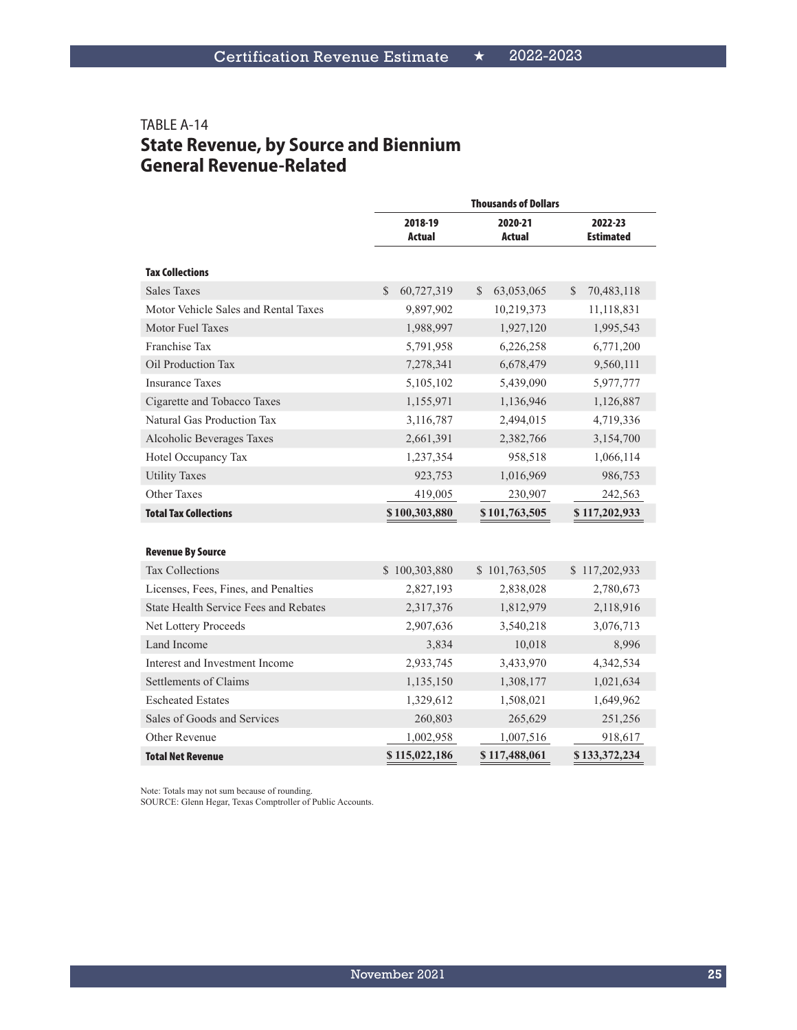#### TABLE A-14 **State Revenue, by Source and Biennium General Revenue-Related**

|                                       | <b>Thousands of Dollars</b> |                            |                             |  |  |
|---------------------------------------|-----------------------------|----------------------------|-----------------------------|--|--|
|                                       | 2018-19<br><b>Actual</b>    | 2020-21<br>Actual          | 2022-23<br><b>Estimated</b> |  |  |
| <b>Tax Collections</b>                |                             |                            |                             |  |  |
| <b>Sales Taxes</b>                    | \$.<br>60,727,319           | <sup>S</sup><br>63,053,065 | 70,483,118<br>S             |  |  |
| Motor Vehicle Sales and Rental Taxes  | 9,897,902                   | 10,219,373                 | 11,118,831                  |  |  |
| Motor Fuel Taxes                      | 1,988,997                   | 1,927,120                  | 1,995,543                   |  |  |
| Franchise Tax                         | 5,791,958                   | 6,226,258                  | 6,771,200                   |  |  |
| Oil Production Tax                    | 7,278,341                   | 6,678,479                  | 9,560,111                   |  |  |
| <b>Insurance Taxes</b>                | 5,105,102                   | 5,439,090                  | 5,977,777                   |  |  |
| Cigarette and Tobacco Taxes           | 1,155,971                   | 1,136,946                  | 1,126,887                   |  |  |
| Natural Gas Production Tax            | 3,116,787                   | 2,494,015                  | 4,719,336                   |  |  |
| Alcoholic Beverages Taxes             | 2,661,391                   | 2,382,766                  | 3,154,700                   |  |  |
| Hotel Occupancy Tax                   | 1,237,354                   | 958,518                    | 1,066,114                   |  |  |
| <b>Utility Taxes</b>                  | 923,753                     | 1,016,969                  | 986,753                     |  |  |
| <b>Other Taxes</b>                    | 419,005                     | 230,907                    | 242,563                     |  |  |
| <b>Total Tax Collections</b>          | \$100,303,880               | \$101,763,505              | \$117,202,933               |  |  |
|                                       |                             |                            |                             |  |  |
| <b>Revenue By Source</b>              |                             |                            |                             |  |  |
| <b>Tax Collections</b>                | \$100,303,880               | \$101,763,505              | \$117,202,933               |  |  |
| Licenses, Fees, Fines, and Penalties  | 2,827,193                   | 2,838,028                  | 2,780,673                   |  |  |
| State Health Service Fees and Rebates | 2,317,376                   | 1,812,979                  | 2,118,916                   |  |  |
| Net Lottery Proceeds                  | 2,907,636                   | 3,540,218                  | 3,076,713                   |  |  |
| Land Income                           | 3,834                       | 10,018                     | 8,996                       |  |  |
| Interest and Investment Income        | 2,933,745                   | 3,433,970                  | 4,342,534                   |  |  |
| Settlements of Claims                 | 1,135,150                   | 1,308,177                  | 1,021,634                   |  |  |
| <b>Escheated Estates</b>              | 1,329,612                   | 1,508,021                  | 1,649,962                   |  |  |
| Sales of Goods and Services           | 260,803                     | 265,629                    | 251,256                     |  |  |
| Other Revenue                         | 1,002,958                   | 1,007,516                  | 918,617                     |  |  |
| <b>Total Net Revenue</b>              | \$115,022,186               | \$117,488,061              | \$133,372,234               |  |  |

Note: Totals may not sum because of rounding.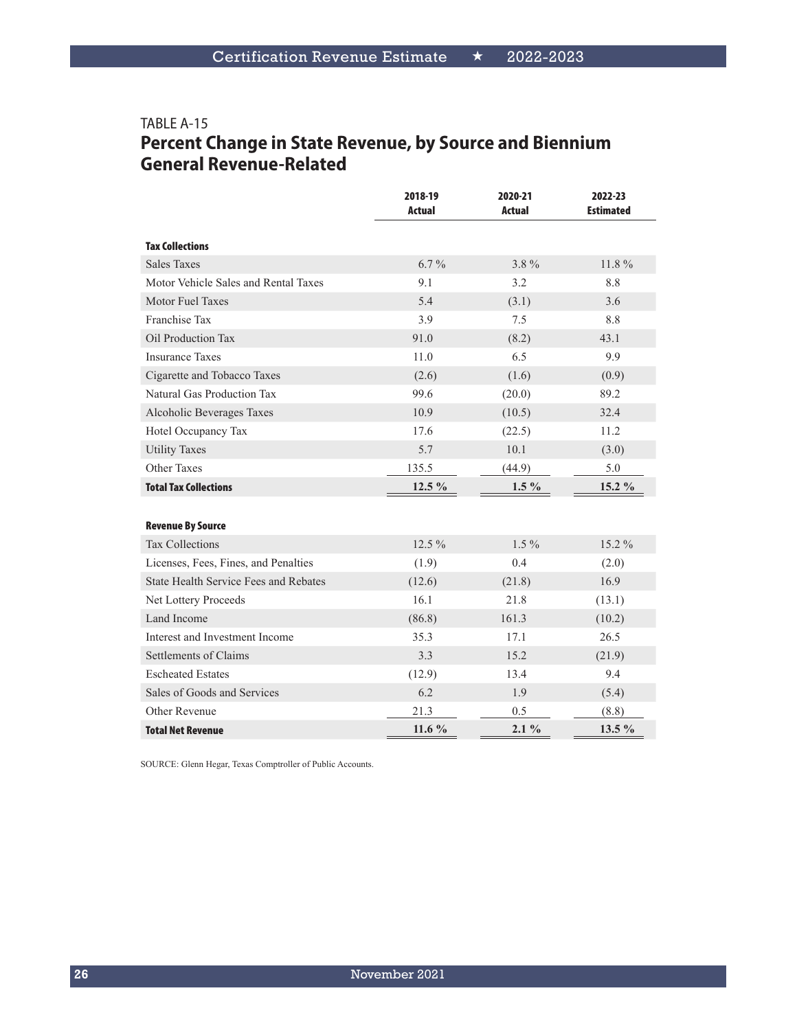# TABLE A-15 **Percent Change in State Revenue, by Source and Biennium General Revenue-Related**

|                                              | 2018-19<br><b>Actual</b> | 2020-21<br><b>Actual</b> | 2022-23<br><b>Estimated</b> |
|----------------------------------------------|--------------------------|--------------------------|-----------------------------|
| <b>Tax Collections</b>                       |                          |                          |                             |
| <b>Sales Taxes</b>                           | $6.7\%$                  | $3.8\%$                  | $11.8\%$                    |
| Motor Vehicle Sales and Rental Taxes         | 9.1                      | 3.2                      | 8.8                         |
| Motor Fuel Taxes                             | 5.4                      | (3.1)                    | 3.6                         |
| Franchise Tax                                | 3.9                      | 7.5                      | 8.8                         |
| Oil Production Tax                           | 91.0                     | (8.2)                    | 43.1                        |
| <b>Insurance Taxes</b>                       | 11.0                     | 6.5                      | 9.9                         |
| Cigarette and Tobacco Taxes                  | (2.6)                    | (1.6)                    | (0.9)                       |
| Natural Gas Production Tax                   | 99.6                     | (20.0)                   | 89.2                        |
| Alcoholic Beverages Taxes                    | 10.9                     | (10.5)                   | 32.4                        |
| Hotel Occupancy Tax                          | 17.6                     | (22.5)                   | 11.2                        |
| <b>Utility Taxes</b>                         | 5.7                      | 10.1                     | (3.0)                       |
| <b>Other Taxes</b>                           | 135.5                    | (44.9)                   | 5.0                         |
| <b>Total Tax Collections</b>                 | 12.5 %                   | $1.5\%$                  | 15.2 %                      |
|                                              |                          |                          |                             |
| <b>Revenue By Source</b>                     |                          |                          |                             |
| <b>Tax Collections</b>                       | 12.5 %                   | $1.5\%$                  | 15.2 %                      |
| Licenses, Fees, Fines, and Penalties         | (1.9)                    | 0.4                      | (2.0)                       |
| <b>State Health Service Fees and Rebates</b> | (12.6)                   | (21.8)                   | 16.9                        |
| Net Lottery Proceeds                         | 16.1                     | 21.8                     | (13.1)                      |
| Land Income                                  | (86.8)                   | 161.3                    | (10.2)                      |
| Interest and Investment Income               | 35.3                     | 17.1                     | 26.5                        |
| Settlements of Claims                        | 3.3                      | 15.2                     | (21.9)                      |
| <b>Escheated Estates</b>                     | (12.9)                   | 13.4                     | 9.4                         |
| Sales of Goods and Services                  | 6.2                      | 1.9                      | (5.4)                       |
| Other Revenue                                | 21.3                     | 0.5                      | (8.8)                       |
| <b>Total Net Revenue</b>                     | 11.6 %                   | $2.1\%$                  | $13.5\%$                    |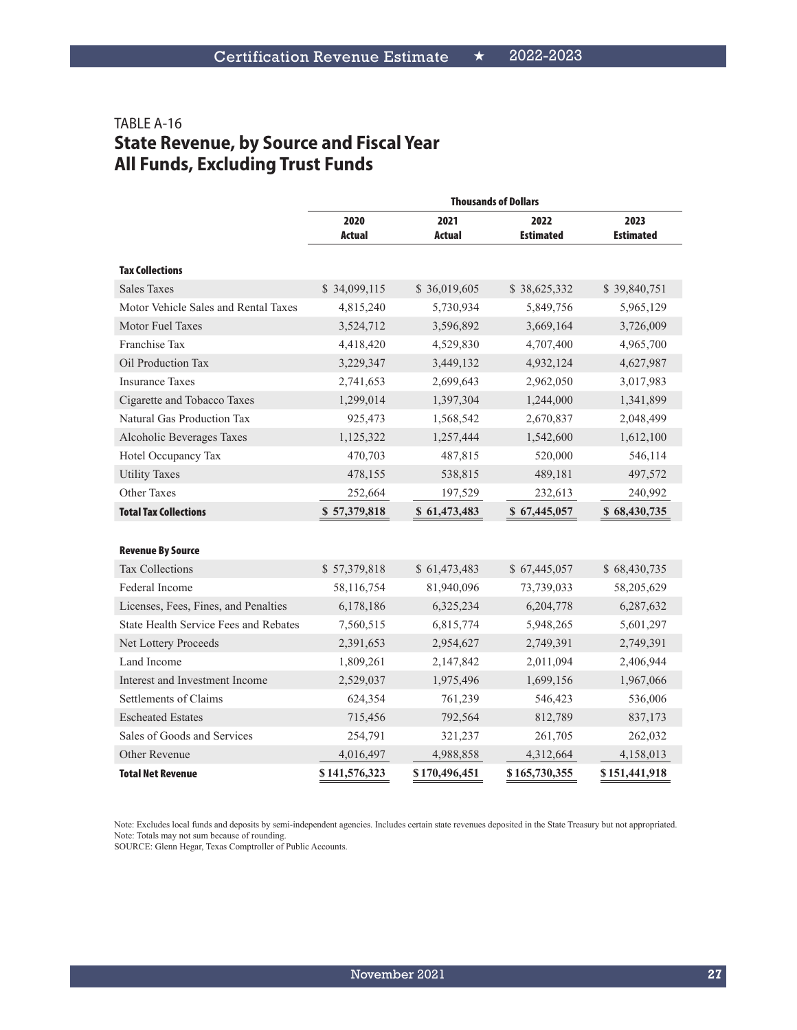# TABLE A-16 **State Revenue, by Source and Fiscal Year All Funds, Excluding Trust Funds**

|                                              |                |                | <b>Thousands of Dollars</b> |                          |
|----------------------------------------------|----------------|----------------|-----------------------------|--------------------------|
|                                              | 2020<br>Actual | 2021<br>Actual | 2022<br><b>Estimated</b>    | 2023<br><b>Estimated</b> |
| <b>Tax Collections</b>                       |                |                |                             |                          |
| <b>Sales Taxes</b>                           | \$34,099,115   | \$36,019,605   | \$38,625,332                | \$39,840,751             |
| Motor Vehicle Sales and Rental Taxes         | 4,815,240      | 5,730,934      | 5,849,756                   | 5,965,129                |
| Motor Fuel Taxes                             | 3,524,712      | 3,596,892      | 3,669,164                   | 3,726,009                |
| Franchise Tax                                | 4,418,420      | 4,529,830      | 4,707,400                   | 4,965,700                |
| Oil Production Tax                           | 3,229,347      | 3,449,132      | 4,932,124                   | 4,627,987                |
| <b>Insurance Taxes</b>                       | 2,741,653      | 2,699,643      | 2,962,050                   | 3,017,983                |
| Cigarette and Tobacco Taxes                  | 1,299,014      | 1,397,304      | 1,244,000                   | 1,341,899                |
| Natural Gas Production Tax                   | 925,473        | 1,568,542      | 2,670,837                   | 2,048,499                |
| Alcoholic Beverages Taxes                    | 1,125,322      | 1,257,444      | 1,542,600                   | 1,612,100                |
| Hotel Occupancy Tax                          | 470,703        | 487,815        | 520,000                     | 546,114                  |
| <b>Utility Taxes</b>                         | 478,155        | 538,815        | 489,181                     | 497,572                  |
| Other Taxes                                  | 252,664        | 197,529        | 232,613                     | 240,992                  |
| <b>Total Tax Collections</b>                 | \$57,379,818   | \$61,473,483   | \$67,445,057                | \$68,430,735             |
|                                              |                |                |                             |                          |
| <b>Revenue By Source</b>                     |                |                |                             |                          |
| <b>Tax Collections</b>                       | \$57,379,818   | \$61,473,483   | \$67,445,057                | \$68,430,735             |
| Federal Income                               | 58,116,754     | 81,940,096     | 73,739,033                  | 58,205,629               |
| Licenses, Fees, Fines, and Penalties         | 6,178,186      | 6,325,234      | 6,204,778                   | 6,287,632                |
| <b>State Health Service Fees and Rebates</b> | 7,560,515      | 6,815,774      | 5,948,265                   | 5,601,297                |
| Net Lottery Proceeds                         | 2,391,653      | 2,954,627      | 2,749,391                   | 2,749,391                |
| Land Income                                  | 1,809,261      | 2,147,842      | 2,011,094                   | 2,406,944                |
| Interest and Investment Income               | 2,529,037      | 1,975,496      | 1,699,156                   | 1,967,066                |
| Settlements of Claims                        | 624,354        | 761,239        | 546,423                     | 536,006                  |
| <b>Escheated Estates</b>                     | 715,456        | 792,564        | 812,789                     | 837,173                  |
| Sales of Goods and Services                  | 254,791        | 321,237        | 261,705                     | 262,032                  |
| Other Revenue                                | 4,016,497      | 4,988,858      | 4,312,664                   | 4,158,013                |
| <b>Total Net Revenue</b>                     | \$141,576,323  | \$170,496,451  | \$165,730,355               | \$151,441,918            |

Note: Excludes local funds and deposits by semi-independent agencies. Includes certain state revenues deposited in the State Treasury but not appropriated. Note: Totals may not sum because of rounding.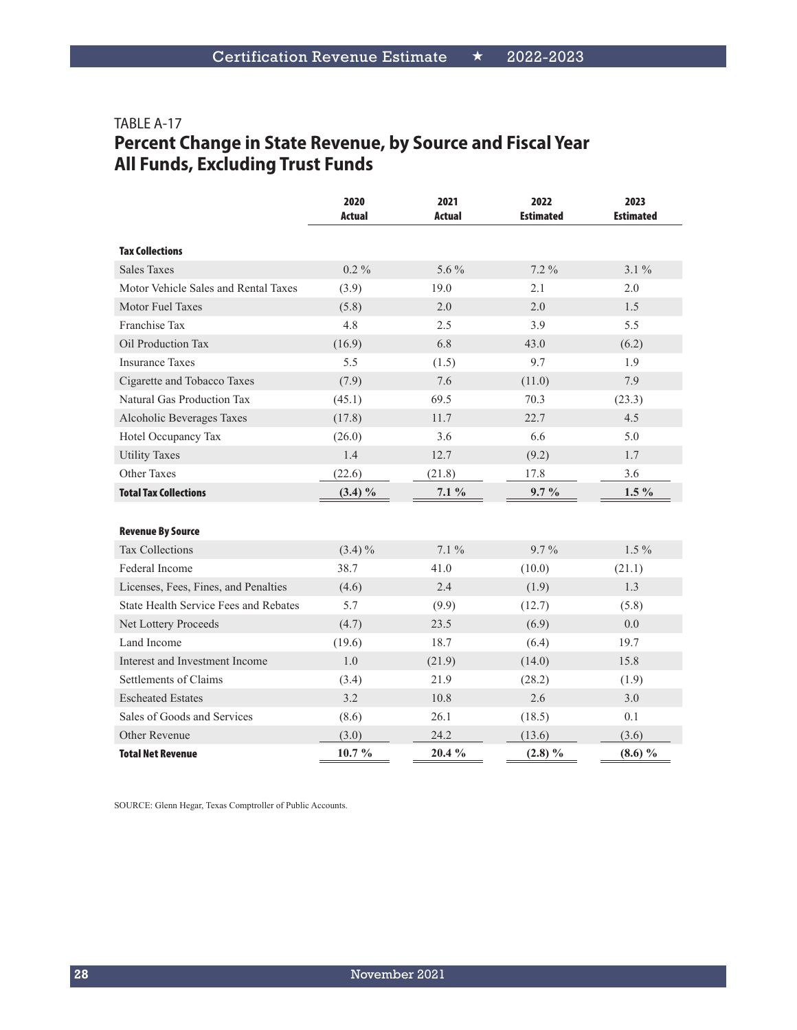# TABLE A-17 **Percent Change in State Revenue, by Source and Fiscal Year All Funds, Excluding Trust Funds**

|                                       | 2020<br><b>Actual</b> | 2021<br>Actual | 2022<br><b>Estimated</b> | 2023<br><b>Estimated</b> |
|---------------------------------------|-----------------------|----------------|--------------------------|--------------------------|
| <b>Tax Collections</b>                |                       |                |                          |                          |
| <b>Sales Taxes</b>                    | $0.2\%$               | $5.6\%$        | $7.2\%$                  | $3.1\%$                  |
| Motor Vehicle Sales and Rental Taxes  | (3.9)                 | 19.0           | 2.1                      | 2.0                      |
| Motor Fuel Taxes                      | (5.8)                 | 2.0            | 2.0                      | 1.5                      |
| Franchise Tax                         | 4.8                   | 2.5            | 3.9                      | 5.5                      |
| Oil Production Tax                    | (16.9)                | 6.8            | 43.0                     | (6.2)                    |
| <b>Insurance Taxes</b>                | 5.5                   | (1.5)          | 9.7                      | 1.9                      |
| Cigarette and Tobacco Taxes           | (7.9)                 | 7.6            | (11.0)                   | 7.9                      |
| Natural Gas Production Tax            | (45.1)                | 69.5           | 70.3                     | (23.3)                   |
| Alcoholic Beverages Taxes             | (17.8)                | 11.7           | 22.7                     | 4.5                      |
| Hotel Occupancy Tax                   | (26.0)                | 3.6            | 6.6                      | 5.0                      |
| <b>Utility Taxes</b>                  | 1.4                   | 12.7           | (9.2)                    | 1.7                      |
| <b>Other Taxes</b>                    | (22.6)                | (21.8)         | 17.8                     | 3.6                      |
| <b>Total Tax Collections</b>          | $(3.4) \%$            | $7.1\%$        | $9.7\%$                  | $1.5\%$                  |
|                                       |                       |                |                          |                          |
| <b>Revenue By Source</b>              |                       |                |                          |                          |
| <b>Tax Collections</b>                | $(3.4)\%$             | $7.1\%$        | $9.7\%$                  | $1.5\%$                  |
| Federal Income                        | 38.7                  | 41.0           | (10.0)                   | (21.1)                   |
| Licenses, Fees, Fines, and Penalties  | (4.6)                 | 2.4            | (1.9)                    | 1.3                      |
| State Health Service Fees and Rebates | 5.7                   | (9.9)          | (12.7)                   | (5.8)                    |
| Net Lottery Proceeds                  | (4.7)                 | 23.5           | (6.9)                    | 0.0                      |
| Land Income                           | (19.6)                | 18.7           | (6.4)                    | 19.7                     |
| Interest and Investment Income        | 1.0                   | (21.9)         | (14.0)                   | 15.8                     |
| Settlements of Claims                 | (3.4)                 | 21.9           | (28.2)                   | (1.9)                    |
| <b>Escheated Estates</b>              | 3.2                   | 10.8           | 2.6                      | 3.0                      |
| Sales of Goods and Services           | (8.6)                 | 26.1           | (18.5)                   | 0.1                      |
| Other Revenue                         | (3.0)                 | 24.2           | (13.6)                   | (3.6)                    |
| <b>Total Net Revenue</b>              | 10.7%                 | 20.4 %         | $(2.8) \%$               | $(8.6) \%$               |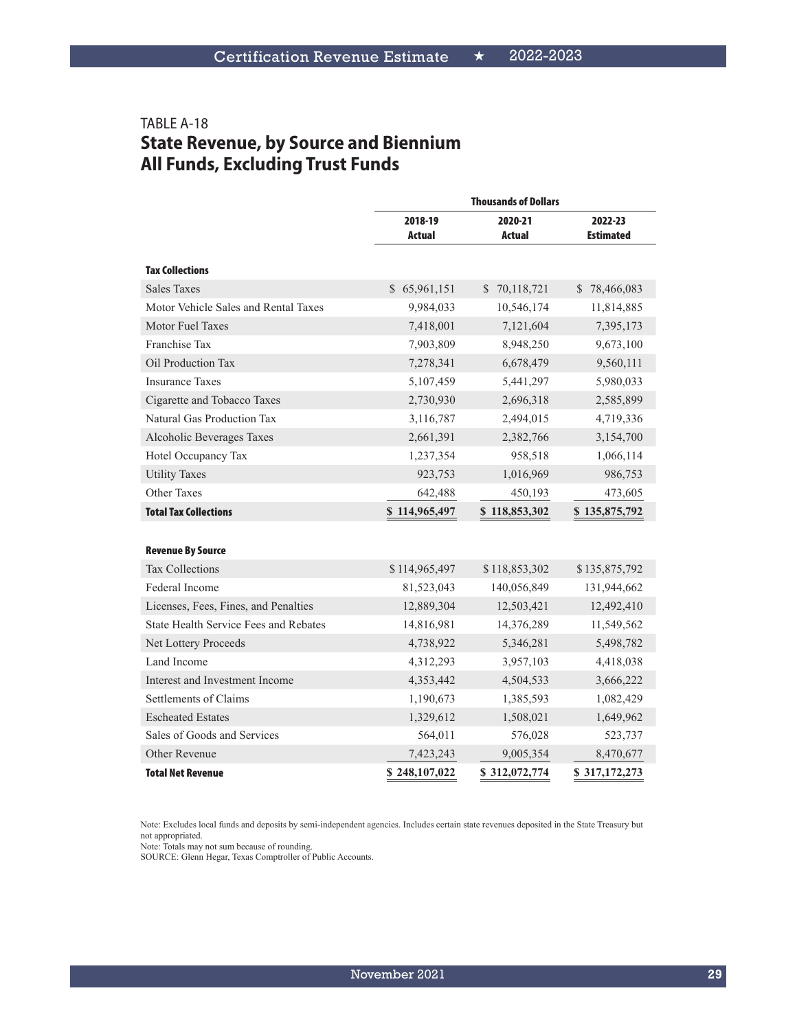# TABLE A-18 **State Revenue, by Source and Biennium All Funds, Excluding Trust Funds**

|                                              | <b>Thousands of Dollars</b> |                   |                             |  |  |
|----------------------------------------------|-----------------------------|-------------------|-----------------------------|--|--|
|                                              | 2018-19<br>Actual           | 2020-21<br>Actual | 2022-23<br><b>Estimated</b> |  |  |
| <b>Tax Collections</b>                       |                             |                   |                             |  |  |
| <b>Sales Taxes</b>                           | \$65,961,151                | \$70,118,721      | \$78,466,083                |  |  |
| Motor Vehicle Sales and Rental Taxes         | 9,984,033                   | 10,546,174        | 11,814,885                  |  |  |
| Motor Fuel Taxes                             | 7,418,001                   | 7,121,604         | 7,395,173                   |  |  |
| Franchise Tax                                | 7,903,809                   | 8,948,250         | 9,673,100                   |  |  |
| Oil Production Tax                           | 7,278,341                   | 6,678,479         | 9,560,111                   |  |  |
| <b>Insurance Taxes</b>                       | 5,107,459                   | 5,441,297         | 5,980,033                   |  |  |
| Cigarette and Tobacco Taxes                  | 2,730,930                   | 2,696,318         | 2,585,899                   |  |  |
| Natural Gas Production Tax                   | 3,116,787                   | 2,494,015         | 4,719,336                   |  |  |
| Alcoholic Beverages Taxes                    | 2,661,391                   | 2,382,766         | 3,154,700                   |  |  |
| Hotel Occupancy Tax                          | 1,237,354                   | 958,518           | 1,066,114                   |  |  |
| <b>Utility Taxes</b>                         | 923,753                     | 1,016,969         | 986,753                     |  |  |
| Other Taxes                                  | 642,488                     | 450,193           | 473,605                     |  |  |
| <b>Total Tax Collections</b>                 | \$114,965,497               | \$118,853,302     | \$135,875,792               |  |  |
|                                              |                             |                   |                             |  |  |
| <b>Revenue By Source</b>                     |                             |                   |                             |  |  |
| <b>Tax Collections</b>                       | \$114,965,497               | \$118,853,302     | \$135,875,792               |  |  |
| Federal Income                               | 81,523,043                  | 140,056,849       | 131,944,662                 |  |  |
| Licenses, Fees, Fines, and Penalties         | 12,889,304                  | 12,503,421        | 12,492,410                  |  |  |
| <b>State Health Service Fees and Rebates</b> | 14,816,981                  | 14,376,289        | 11,549,562                  |  |  |
| Net Lottery Proceeds                         | 4,738,922                   | 5,346,281         | 5,498,782                   |  |  |
| Land Income                                  | 4,312,293                   | 3,957,103         | 4,418,038                   |  |  |
| Interest and Investment Income               | 4,353,442                   | 4,504,533         | 3,666,222                   |  |  |
| Settlements of Claims                        | 1,190,673                   | 1,385,593         | 1,082,429                   |  |  |
| <b>Escheated Estates</b>                     | 1,329,612                   | 1,508,021         | 1,649,962                   |  |  |
| Sales of Goods and Services                  | 564,011                     | 576,028           | 523,737                     |  |  |
| Other Revenue                                | 7,423,243                   | 9,005,354         | 8,470,677                   |  |  |
| <b>Total Net Revenue</b>                     | \$248,107,022               | \$312,072,774     | \$317,172,273               |  |  |

Note: Excludes local funds and deposits by semi-independent agencies. Includes certain state revenues deposited in the State Treasury but not appropriated.

Note: Totals may not sum because of rounding.